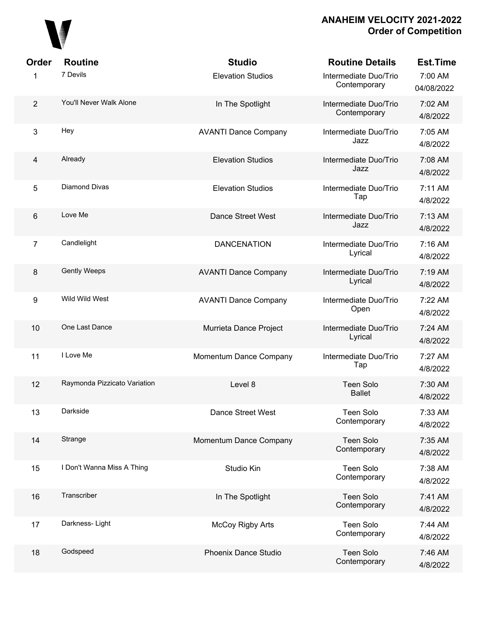

| Order                   | <b>Routine</b>               | <b>Studio</b>               | <b>Routine Details</b>                | <b>Est.Time</b>       |
|-------------------------|------------------------------|-----------------------------|---------------------------------------|-----------------------|
| 1                       | 7 Devils                     | <b>Elevation Studios</b>    | Intermediate Duo/Trio<br>Contemporary | 7:00 AM<br>04/08/2022 |
| $\overline{2}$          | You'll Never Walk Alone      | In The Spotlight            | Intermediate Duo/Trio<br>Contemporary | 7:02 AM<br>4/8/2022   |
| 3                       | Hey                          | <b>AVANTI Dance Company</b> | Intermediate Duo/Trio<br>Jazz         | 7:05 AM<br>4/8/2022   |
| $\overline{\mathbf{4}}$ | Already                      | <b>Elevation Studios</b>    | Intermediate Duo/Trio<br>Jazz         | 7:08 AM<br>4/8/2022   |
| 5                       | Diamond Divas                | <b>Elevation Studios</b>    | Intermediate Duo/Trio<br>Tap          | 7:11 AM<br>4/8/2022   |
| 6                       | Love Me                      | <b>Dance Street West</b>    | Intermediate Duo/Trio<br>Jazz         | 7:13 AM<br>4/8/2022   |
| 7                       | Candlelight                  | <b>DANCENATION</b>          | Intermediate Duo/Trio<br>Lyrical      | 7:16 AM<br>4/8/2022   |
| $\bf 8$                 | <b>Gently Weeps</b>          | <b>AVANTI Dance Company</b> | Intermediate Duo/Trio<br>Lyrical      | 7:19 AM<br>4/8/2022   |
| 9                       | Wild Wild West               | <b>AVANTI Dance Company</b> | Intermediate Duo/Trio<br>Open         | 7:22 AM<br>4/8/2022   |
| 10                      | One Last Dance               | Murrieta Dance Project      | Intermediate Duo/Trio<br>Lyrical      | 7:24 AM<br>4/8/2022   |
| 11                      | I Love Me                    | Momentum Dance Company      | Intermediate Duo/Trio<br>Tap          | 7:27 AM<br>4/8/2022   |
| 12                      | Raymonda Pizzicato Variation | Level 8                     | <b>Teen Solo</b><br><b>Ballet</b>     | 7:30 AM<br>4/8/2022   |
| 13                      | Darkside                     | Dance Street West           | <b>Teen Solo</b><br>Contemporary      | 7:33 AM<br>4/8/2022   |
| 14                      | Strange                      | Momentum Dance Company      | <b>Teen Solo</b><br>Contemporary      | 7:35 AM<br>4/8/2022   |
| 15                      | I Don't Wanna Miss A Thing   | Studio Kin                  | <b>Teen Solo</b><br>Contemporary      | 7:38 AM<br>4/8/2022   |
| 16                      | Transcriber                  | In The Spotlight            | <b>Teen Solo</b><br>Contemporary      | 7:41 AM<br>4/8/2022   |
| 17                      | Darkness-Light               | <b>McCoy Rigby Arts</b>     | <b>Teen Solo</b><br>Contemporary      | 7:44 AM<br>4/8/2022   |
| 18                      | Godspeed                     | Phoenix Dance Studio        | <b>Teen Solo</b><br>Contemporary      | 7:46 AM<br>4/8/2022   |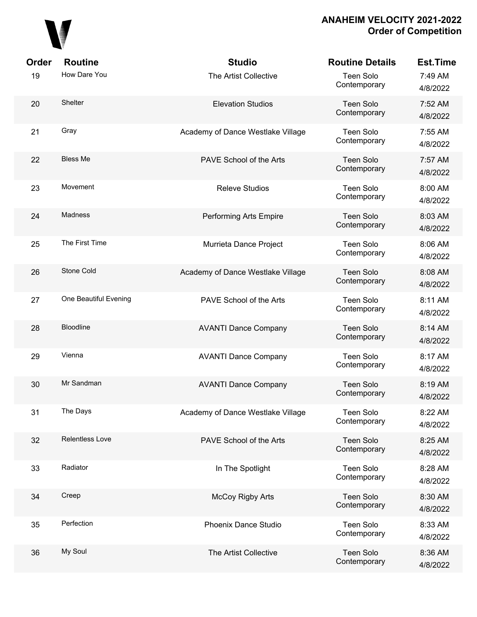

| Order | <b>Routine</b>        | <b>Studio</b>                     | <b>Routine Details</b>           | <b>Est.Time</b>     |
|-------|-----------------------|-----------------------------------|----------------------------------|---------------------|
| 19    | How Dare You          | The Artist Collective             | <b>Teen Solo</b><br>Contemporary | 7:49 AM<br>4/8/2022 |
| 20    | Shelter               | <b>Elevation Studios</b>          | Teen Solo<br>Contemporary        | 7:52 AM<br>4/8/2022 |
| 21    | Gray                  | Academy of Dance Westlake Village | Teen Solo<br>Contemporary        | 7:55 AM<br>4/8/2022 |
| 22    | <b>Bless Me</b>       | PAVE School of the Arts           | Teen Solo<br>Contemporary        | 7:57 AM<br>4/8/2022 |
| 23    | Movement              | <b>Releve Studios</b>             | Teen Solo<br>Contemporary        | 8:00 AM<br>4/8/2022 |
| 24    | <b>Madness</b>        | Performing Arts Empire            | <b>Teen Solo</b><br>Contemporary | 8:03 AM<br>4/8/2022 |
| 25    | The First Time        | Murrieta Dance Project            | Teen Solo<br>Contemporary        | 8:06 AM<br>4/8/2022 |
| 26    | Stone Cold            | Academy of Dance Westlake Village | <b>Teen Solo</b><br>Contemporary | 8:08 AM<br>4/8/2022 |
| 27    | One Beautiful Evening | PAVE School of the Arts           | Teen Solo<br>Contemporary        | 8:11 AM<br>4/8/2022 |
| 28    | <b>Bloodline</b>      | <b>AVANTI Dance Company</b>       | <b>Teen Solo</b><br>Contemporary | 8:14 AM<br>4/8/2022 |
| 29    | Vienna                | <b>AVANTI Dance Company</b>       | Teen Solo<br>Contemporary        | 8:17 AM<br>4/8/2022 |
| 30    | Mr Sandman            | <b>AVANTI Dance Company</b>       | <b>Teen Solo</b><br>Contemporary | 8:19 AM<br>4/8/2022 |
| 31    | The Days              | Academy of Dance Westlake Village | <b>Teen Solo</b><br>Contemporary | 8:22 AM<br>4/8/2022 |
| 32    | Relentless Love       | PAVE School of the Arts           | <b>Teen Solo</b><br>Contemporary | 8:25 AM<br>4/8/2022 |
| 33    | Radiator              | In The Spotlight                  | Teen Solo<br>Contemporary        | 8:28 AM<br>4/8/2022 |
| 34    | Creep                 | <b>McCoy Rigby Arts</b>           | <b>Teen Solo</b><br>Contemporary | 8:30 AM<br>4/8/2022 |
| 35    | Perfection            | Phoenix Dance Studio              | <b>Teen Solo</b><br>Contemporary | 8:33 AM<br>4/8/2022 |
| 36    | My Soul               | The Artist Collective             | <b>Teen Solo</b><br>Contemporary | 8:36 AM<br>4/8/2022 |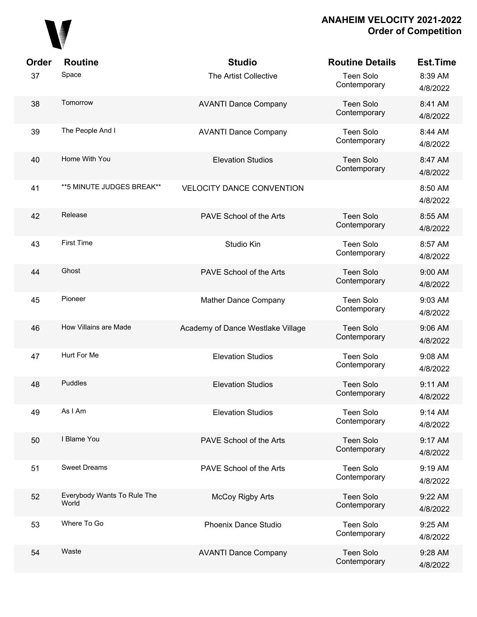

| Order | <b>Routine</b>                       | <b>Studio</b>                     | <b>Routine Details</b>           | <b>Est.Time</b>     |
|-------|--------------------------------------|-----------------------------------|----------------------------------|---------------------|
| 37    | Space                                | The Artist Collective             | <b>Teen Solo</b><br>Contemporary | 8:39 AM<br>4/8/2022 |
| 38    | Tomorrow                             | <b>AVANTI Dance Company</b>       | <b>Teen Solo</b><br>Contemporary | 8:41 AM<br>4/8/2022 |
| 39    | The People And I                     | <b>AVANTI Dance Company</b>       | <b>Teen Solo</b><br>Contemporary | 8:44 AM<br>4/8/2022 |
| 40    | Home With You                        | <b>Elevation Studios</b>          | <b>Teen Solo</b><br>Contemporary | 8:47 AM<br>4/8/2022 |
| 41    | **5 MINUTE JUDGES BREAK**            | <b>VELOCITY DANCE CONVENTION</b>  |                                  | 8:50 AM<br>4/8/2022 |
| 42    | Release                              | PAVE School of the Arts           | <b>Teen Solo</b><br>Contemporary | 8:55 AM<br>4/8/2022 |
| 43    | <b>First Time</b>                    | Studio Kin                        | <b>Teen Solo</b><br>Contemporary | 8:57 AM<br>4/8/2022 |
| 44    | Ghost                                | PAVE School of the Arts           | <b>Teen Solo</b><br>Contemporary | 9:00 AM<br>4/8/2022 |
| 45    | Pioneer                              | Mather Dance Company              | <b>Teen Solo</b><br>Contemporary | 9:03 AM<br>4/8/2022 |
| 46    | How Villains are Made                | Academy of Dance Westlake Village | <b>Teen Solo</b><br>Contemporary | 9:06 AM<br>4/8/2022 |
| 47    | Hurt For Me                          | <b>Elevation Studios</b>          | <b>Teen Solo</b><br>Contemporary | 9:08 AM<br>4/8/2022 |
| 48    | Puddles                              | <b>Elevation Studios</b>          | <b>Teen Solo</b><br>Contemporary | 9:11 AM<br>4/8/2022 |
| 49    | As I Am                              | <b>Elevation Studios</b>          | <b>Teen Solo</b><br>Contemporary | 9:14 AM<br>4/8/2022 |
| 50    | I Blame You                          | PAVE School of the Arts           | <b>Teen Solo</b><br>Contemporary | 9:17 AM<br>4/8/2022 |
| 51    | <b>Sweet Dreams</b>                  | PAVE School of the Arts           | <b>Teen Solo</b><br>Contemporary | 9:19 AM<br>4/8/2022 |
| 52    | Everybody Wants To Rule The<br>World | <b>McCoy Rigby Arts</b>           | <b>Teen Solo</b><br>Contemporary | 9:22 AM<br>4/8/2022 |
| 53    | Where To Go                          | <b>Phoenix Dance Studio</b>       | <b>Teen Solo</b><br>Contemporary | 9:25 AM<br>4/8/2022 |
| 54    | Waste                                | <b>AVANTI Dance Company</b>       | <b>Teen Solo</b><br>Contemporary | 9:28 AM<br>4/8/2022 |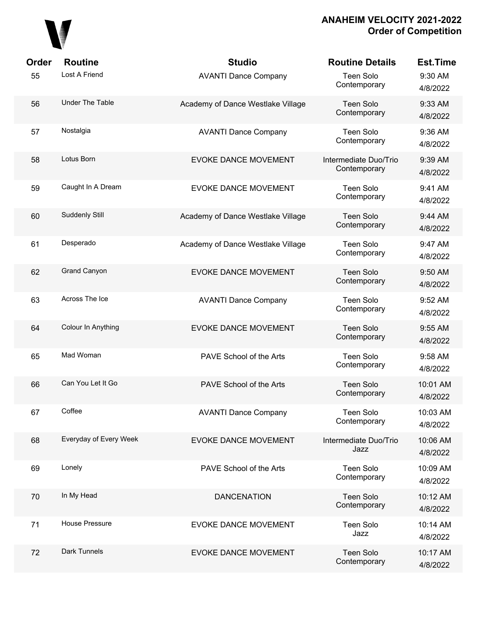

| Order | <b>Routine</b>         | <b>Studio</b>                     | <b>Routine Details</b>                | <b>Est.Time</b>      |
|-------|------------------------|-----------------------------------|---------------------------------------|----------------------|
| 55    | Lost A Friend          | <b>AVANTI Dance Company</b>       | Teen Solo<br>Contemporary             | 9:30 AM<br>4/8/2022  |
| 56    | <b>Under The Table</b> | Academy of Dance Westlake Village | <b>Teen Solo</b><br>Contemporary      | 9:33 AM<br>4/8/2022  |
| 57    | Nostalgia              | <b>AVANTI Dance Company</b>       | Teen Solo<br>Contemporary             | 9:36 AM<br>4/8/2022  |
| 58    | Lotus Born             | <b>EVOKE DANCE MOVEMENT</b>       | Intermediate Duo/Trio<br>Contemporary | 9:39 AM<br>4/8/2022  |
| 59    | Caught In A Dream      | <b>EVOKE DANCE MOVEMENT</b>       | Teen Solo<br>Contemporary             | 9:41 AM<br>4/8/2022  |
| 60    | Suddenly Still         | Academy of Dance Westlake Village | <b>Teen Solo</b><br>Contemporary      | 9:44 AM<br>4/8/2022  |
| 61    | Desperado              | Academy of Dance Westlake Village | Teen Solo<br>Contemporary             | 9:47 AM<br>4/8/2022  |
| 62    | <b>Grand Canyon</b>    | <b>EVOKE DANCE MOVEMENT</b>       | <b>Teen Solo</b><br>Contemporary      | 9:50 AM<br>4/8/2022  |
| 63    | Across The Ice         | <b>AVANTI Dance Company</b>       | Teen Solo<br>Contemporary             | 9:52 AM<br>4/8/2022  |
| 64    | Colour In Anything     | <b>EVOKE DANCE MOVEMENT</b>       | <b>Teen Solo</b><br>Contemporary      | 9:55 AM<br>4/8/2022  |
| 65    | Mad Woman              | PAVE School of the Arts           | Teen Solo<br>Contemporary             | 9:58 AM<br>4/8/2022  |
| 66    | Can You Let It Go      | PAVE School of the Arts           | <b>Teen Solo</b><br>Contemporary      | 10:01 AM<br>4/8/2022 |
| 67    | Coffee                 | <b>AVANTI Dance Company</b>       | <b>Teen Solo</b><br>Contemporary      | 10:03 AM<br>4/8/2022 |
| 68    | Everyday of Every Week | <b>EVOKE DANCE MOVEMENT</b>       | Intermediate Duo/Trio<br>Jazz         | 10:06 AM<br>4/8/2022 |
| 69    | Lonely                 | PAVE School of the Arts           | Teen Solo<br>Contemporary             | 10:09 AM<br>4/8/2022 |
| 70    | In My Head             | <b>DANCENATION</b>                | <b>Teen Solo</b><br>Contemporary      | 10:12 AM<br>4/8/2022 |
| 71    | House Pressure         | <b>EVOKE DANCE MOVEMENT</b>       | <b>Teen Solo</b><br>Jazz              | 10:14 AM<br>4/8/2022 |
| 72    | Dark Tunnels           | <b>EVOKE DANCE MOVEMENT</b>       | <b>Teen Solo</b><br>Contemporary      | 10:17 AM<br>4/8/2022 |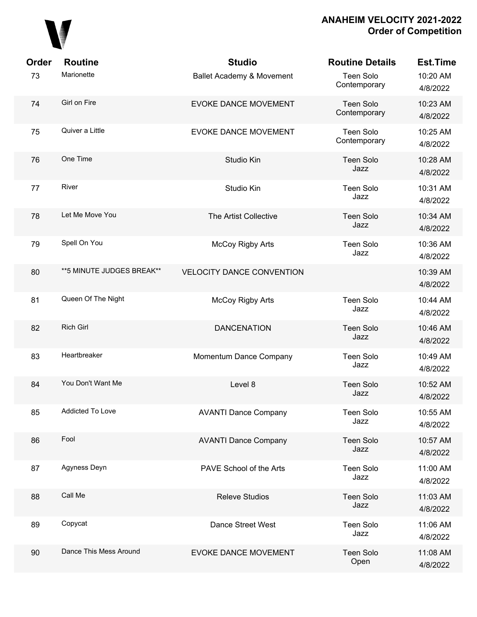

| <b>Order</b> | <b>Routine</b>             | <b>Studio</b>                    | <b>Routine Details</b>           | <b>Est.Time</b>      |
|--------------|----------------------------|----------------------------------|----------------------------------|----------------------|
| 73           | Marionette                 | Ballet Academy & Movement        | <b>Teen Solo</b><br>Contemporary | 10:20 AM<br>4/8/2022 |
| 74           | Girl on Fire               | <b>EVOKE DANCE MOVEMENT</b>      | <b>Teen Solo</b><br>Contemporary | 10:23 AM<br>4/8/2022 |
| 75           | Quiver a Little            | <b>EVOKE DANCE MOVEMENT</b>      | Teen Solo<br>Contemporary        | 10:25 AM<br>4/8/2022 |
| 76           | One Time                   | Studio Kin                       | <b>Teen Solo</b><br>Jazz         | 10:28 AM<br>4/8/2022 |
| 77           | River                      | Studio Kin                       | <b>Teen Solo</b><br>Jazz         | 10:31 AM<br>4/8/2022 |
| 78           | Let Me Move You            | The Artist Collective            | <b>Teen Solo</b><br>Jazz         | 10:34 AM<br>4/8/2022 |
| 79           | Spell On You               | <b>McCoy Rigby Arts</b>          | Teen Solo<br>Jazz                | 10:36 AM<br>4/8/2022 |
| 80           | ** 5 MINUTE JUDGES BREAK** | <b>VELOCITY DANCE CONVENTION</b> |                                  | 10:39 AM<br>4/8/2022 |
| 81           | Queen Of The Night         | <b>McCoy Rigby Arts</b>          | <b>Teen Solo</b><br>Jazz         | 10:44 AM<br>4/8/2022 |
| 82           | <b>Rich Girl</b>           | <b>DANCENATION</b>               | <b>Teen Solo</b><br>Jazz         | 10:46 AM<br>4/8/2022 |
| 83           | Heartbreaker               | Momentum Dance Company           | <b>Teen Solo</b><br>Jazz         | 10:49 AM<br>4/8/2022 |
| 84           | You Don't Want Me          | Level 8                          | <b>Teen Solo</b><br>Jazz         | 10:52 AM<br>4/8/2022 |
| 85           | Addicted To Love           | <b>AVANTI Dance Company</b>      | <b>Teen Solo</b><br>Jazz         | 10:55 AM<br>4/8/2022 |
| 86           | Fool                       | <b>AVANTI Dance Company</b>      | <b>Teen Solo</b><br>Jazz         | 10:57 AM<br>4/8/2022 |
| 87           | Agyness Deyn               | PAVE School of the Arts          | <b>Teen Solo</b><br>Jazz         | 11:00 AM<br>4/8/2022 |
| 88           | Call Me                    | <b>Releve Studios</b>            | <b>Teen Solo</b><br>Jazz         | 11:03 AM<br>4/8/2022 |
| 89           | Copycat                    | Dance Street West                | <b>Teen Solo</b><br>Jazz         | 11:06 AM<br>4/8/2022 |
| 90           | Dance This Mess Around     | <b>EVOKE DANCE MOVEMENT</b>      | <b>Teen Solo</b><br>Open         | 11:08 AM<br>4/8/2022 |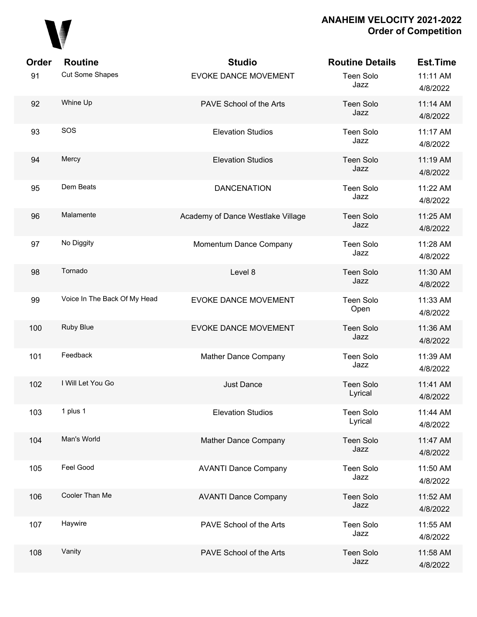

| Order | <b>Routine</b>               | <b>Studio</b>                     | <b>Routine Details</b>      | <b>Est.Time</b>      |
|-------|------------------------------|-----------------------------------|-----------------------------|----------------------|
| 91    | Cut Some Shapes              | <b>EVOKE DANCE MOVEMENT</b>       | <b>Teen Solo</b><br>Jazz    | 11:11 AM<br>4/8/2022 |
| 92    | Whine Up                     | PAVE School of the Arts           | <b>Teen Solo</b><br>Jazz    | 11:14 AM<br>4/8/2022 |
| 93    | SOS                          | <b>Elevation Studios</b>          | Teen Solo<br>Jazz           | 11:17 AM<br>4/8/2022 |
| 94    | Mercy                        | <b>Elevation Studios</b>          | <b>Teen Solo</b><br>Jazz    | 11:19 AM<br>4/8/2022 |
| 95    | Dem Beats                    | <b>DANCENATION</b>                | <b>Teen Solo</b><br>Jazz    | 11:22 AM<br>4/8/2022 |
| 96    | Malamente                    | Academy of Dance Westlake Village | <b>Teen Solo</b><br>Jazz    | 11:25 AM<br>4/8/2022 |
| 97    | No Diggity                   | Momentum Dance Company            | <b>Teen Solo</b><br>Jazz    | 11:28 AM<br>4/8/2022 |
| 98    | Tornado                      | Level 8                           | <b>Teen Solo</b><br>Jazz    | 11:30 AM<br>4/8/2022 |
| 99    | Voice In The Back Of My Head | <b>EVOKE DANCE MOVEMENT</b>       | <b>Teen Solo</b><br>Open    | 11:33 AM<br>4/8/2022 |
| 100   | Ruby Blue                    | <b>EVOKE DANCE MOVEMENT</b>       | <b>Teen Solo</b><br>Jazz    | 11:36 AM<br>4/8/2022 |
| 101   | Feedback                     | Mather Dance Company              | <b>Teen Solo</b><br>Jazz    | 11:39 AM<br>4/8/2022 |
| 102   | I Will Let You Go            | Just Dance                        | <b>Teen Solo</b><br>Lyrical | 11:41 AM<br>4/8/2022 |
| 103   | 1 plus 1                     | <b>Elevation Studios</b>          | <b>Teen Solo</b><br>Lyrical | 11:44 AM<br>4/8/2022 |
| 104   | Man's World                  | Mather Dance Company              | Teen Solo<br>Jazz           | 11:47 AM<br>4/8/2022 |
| 105   | Feel Good                    | <b>AVANTI Dance Company</b>       | <b>Teen Solo</b><br>Jazz    | 11:50 AM<br>4/8/2022 |
| 106   | Cooler Than Me               | <b>AVANTI Dance Company</b>       | <b>Teen Solo</b><br>Jazz    | 11:52 AM<br>4/8/2022 |
| 107   | Haywire                      | PAVE School of the Arts           | <b>Teen Solo</b><br>Jazz    | 11:55 AM<br>4/8/2022 |
| 108   | Vanity                       | PAVE School of the Arts           | <b>Teen Solo</b><br>Jazz    | 11:58 AM<br>4/8/2022 |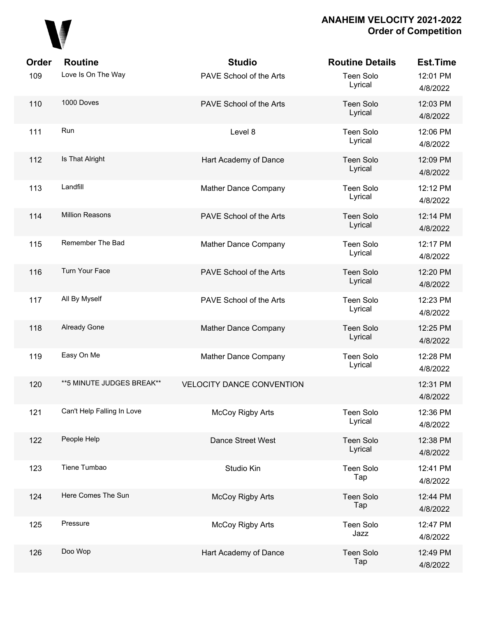

| Order | <b>Routine</b>             | <b>Studio</b>                    | <b>Routine Details</b>      | <b>Est.Time</b>      |
|-------|----------------------------|----------------------------------|-----------------------------|----------------------|
| 109   | Love Is On The Way         | PAVE School of the Arts          | <b>Teen Solo</b><br>Lyrical | 12:01 PM<br>4/8/2022 |
| 110   | 1000 Doves                 | PAVE School of the Arts          | Teen Solo<br>Lyrical        | 12:03 PM<br>4/8/2022 |
| 111   | Run                        | Level 8                          | Teen Solo<br>Lyrical        | 12:06 PM<br>4/8/2022 |
| 112   | Is That Alright            | Hart Academy of Dance            | Teen Solo<br>Lyrical        | 12:09 PM<br>4/8/2022 |
| 113   | Landfill                   | Mather Dance Company             | Teen Solo<br>Lyrical        | 12:12 PM<br>4/8/2022 |
| 114   | <b>Million Reasons</b>     | PAVE School of the Arts          | Teen Solo<br>Lyrical        | 12:14 PM<br>4/8/2022 |
| 115   | Remember The Bad           | Mather Dance Company             | Teen Solo<br>Lyrical        | 12:17 PM<br>4/8/2022 |
| 116   | Turn Your Face             | PAVE School of the Arts          | <b>Teen Solo</b><br>Lyrical | 12:20 PM<br>4/8/2022 |
| 117   | All By Myself              | PAVE School of the Arts          | <b>Teen Solo</b><br>Lyrical | 12:23 PM<br>4/8/2022 |
| 118   | Already Gone               | Mather Dance Company             | <b>Teen Solo</b><br>Lyrical | 12:25 PM<br>4/8/2022 |
| 119   | Easy On Me                 | Mather Dance Company             | Teen Solo<br>Lyrical        | 12:28 PM<br>4/8/2022 |
| 120   | ** 5 MINUTE JUDGES BREAK** | <b>VELOCITY DANCE CONVENTION</b> |                             | 12:31 PM<br>4/8/2022 |
| 121   | Can't Help Falling In Love | <b>McCoy Rigby Arts</b>          | Teen Solo<br>Lyrical        | 12:36 PM<br>4/8/2022 |
| 122   | People Help                | Dance Street West                | <b>Teen Solo</b><br>Lyrical | 12:38 PM<br>4/8/2022 |
| 123   | Tiene Tumbao               | Studio Kin                       | Teen Solo<br>Tap            | 12:41 PM<br>4/8/2022 |
| 124   | Here Comes The Sun         | McCoy Rigby Arts                 | <b>Teen Solo</b><br>Tap     | 12:44 PM<br>4/8/2022 |
| 125   | Pressure                   | <b>McCoy Rigby Arts</b>          | <b>Teen Solo</b><br>Jazz    | 12:47 PM<br>4/8/2022 |
| 126   | Doo Wop                    | Hart Academy of Dance            | <b>Teen Solo</b><br>Tap     | 12:49 PM<br>4/8/2022 |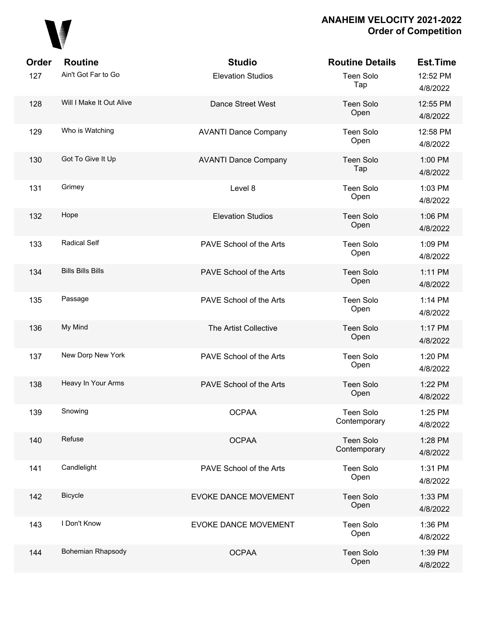

| Order | <b>Routine</b>           | <b>Studio</b>               | <b>Routine Details</b>           | <b>Est.Time</b>      |
|-------|--------------------------|-----------------------------|----------------------------------|----------------------|
| 127   | Ain't Got Far to Go      | <b>Elevation Studios</b>    | <b>Teen Solo</b><br>Tap          | 12:52 PM<br>4/8/2022 |
| 128   | Will I Make It Out Alive | <b>Dance Street West</b>    | <b>Teen Solo</b><br>Open         | 12:55 PM<br>4/8/2022 |
| 129   | Who is Watching          | <b>AVANTI Dance Company</b> | <b>Teen Solo</b><br>Open         | 12:58 PM<br>4/8/2022 |
| 130   | Got To Give It Up        | <b>AVANTI Dance Company</b> | <b>Teen Solo</b><br>Tap          | 1:00 PM<br>4/8/2022  |
| 131   | Grimey                   | Level 8                     | <b>Teen Solo</b><br>Open         | 1:03 PM<br>4/8/2022  |
| 132   | Hope                     | <b>Elevation Studios</b>    | <b>Teen Solo</b><br>Open         | 1:06 PM<br>4/8/2022  |
| 133   | <b>Radical Self</b>      | PAVE School of the Arts     | <b>Teen Solo</b><br>Open         | 1:09 PM<br>4/8/2022  |
| 134   | <b>Bills Bills Bills</b> | PAVE School of the Arts     | <b>Teen Solo</b><br>Open         | 1:11 PM<br>4/8/2022  |
| 135   | Passage                  | PAVE School of the Arts     | <b>Teen Solo</b><br>Open         | 1:14 PM<br>4/8/2022  |
| 136   | My Mind                  | The Artist Collective       | <b>Teen Solo</b><br>Open         | 1:17 PM<br>4/8/2022  |
| 137   | New Dorp New York        | PAVE School of the Arts     | <b>Teen Solo</b><br>Open         | 1:20 PM<br>4/8/2022  |
| 138   | Heavy In Your Arms       | PAVE School of the Arts     | <b>Teen Solo</b><br>Open         | 1:22 PM<br>4/8/2022  |
| 139   | Snowing                  | <b>OCPAA</b>                | <b>Teen Solo</b><br>Contemporary | 1:25 PM<br>4/8/2022  |
| 140   | Refuse                   | <b>OCPAA</b>                | <b>Teen Solo</b><br>Contemporary | 1:28 PM<br>4/8/2022  |
| 141   | Candlelight              | PAVE School of the Arts     | <b>Teen Solo</b><br>Open         | 1:31 PM<br>4/8/2022  |
| 142   | Bicycle                  | <b>EVOKE DANCE MOVEMENT</b> | <b>Teen Solo</b><br>Open         | 1:33 PM<br>4/8/2022  |
| 143   | I Don't Know             | <b>EVOKE DANCE MOVEMENT</b> | <b>Teen Solo</b><br>Open         | 1:36 PM<br>4/8/2022  |
| 144   | Bohemian Rhapsody        | <b>OCPAA</b>                | <b>Teen Solo</b><br>Open         | 1:39 PM<br>4/8/2022  |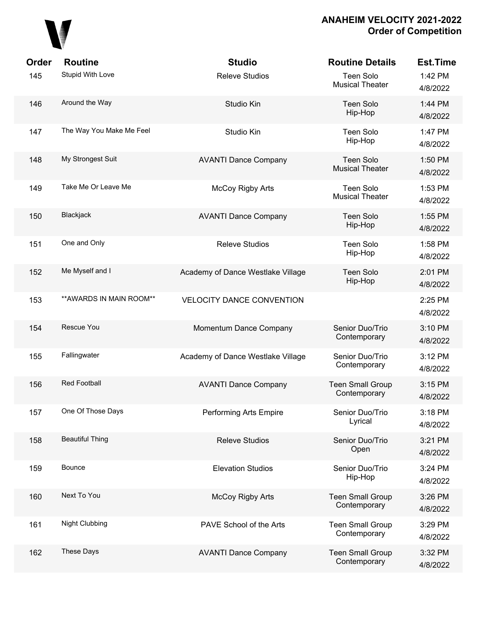

| Order | <b>Routine</b>           | <b>Studio</b>                     | <b>Routine Details</b>                  | <b>Est.Time</b>     |
|-------|--------------------------|-----------------------------------|-----------------------------------------|---------------------|
| 145   | Stupid With Love         | <b>Releve Studios</b>             | Teen Solo<br><b>Musical Theater</b>     | 1:42 PM<br>4/8/2022 |
| 146   | Around the Way           | Studio Kin                        | <b>Teen Solo</b><br>Hip-Hop             | 1:44 PM<br>4/8/2022 |
| 147   | The Way You Make Me Feel | Studio Kin                        | <b>Teen Solo</b><br>Hip-Hop             | 1:47 PM<br>4/8/2022 |
| 148   | My Strongest Suit        | <b>AVANTI Dance Company</b>       | Teen Solo<br><b>Musical Theater</b>     | 1:50 PM<br>4/8/2022 |
| 149   | Take Me Or Leave Me      | McCoy Rigby Arts                  | Teen Solo<br><b>Musical Theater</b>     | 1:53 PM<br>4/8/2022 |
| 150   | Blackjack                | <b>AVANTI Dance Company</b>       | <b>Teen Solo</b><br>Hip-Hop             | 1:55 PM<br>4/8/2022 |
| 151   | One and Only             | <b>Releve Studios</b>             | <b>Teen Solo</b><br>Hip-Hop             | 1:58 PM<br>4/8/2022 |
| 152   | Me Myself and I          | Academy of Dance Westlake Village | <b>Teen Solo</b><br>Hip-Hop             | 2:01 PM<br>4/8/2022 |
| 153   | ** AWARDS IN MAIN ROOM** | <b>VELOCITY DANCE CONVENTION</b>  |                                         | 2:25 PM<br>4/8/2022 |
| 154   | Rescue You               | Momentum Dance Company            | Senior Duo/Trio<br>Contemporary         | 3:10 PM<br>4/8/2022 |
| 155   | Fallingwater             | Academy of Dance Westlake Village | Senior Duo/Trio<br>Contemporary         | 3:12 PM<br>4/8/2022 |
| 156   | <b>Red Football</b>      | <b>AVANTI Dance Company</b>       | <b>Teen Small Group</b><br>Contemporary | 3:15 PM<br>4/8/2022 |
| 157   | One Of Those Days        | Performing Arts Empire            | Senior Duo/Trio<br>Lyrical              | 3:18 PM<br>4/8/2022 |
| 158   | <b>Beautiful Thing</b>   | <b>Releve Studios</b>             | Senior Duo/Trio<br>Open                 | 3:21 PM<br>4/8/2022 |
| 159   | Bounce                   | <b>Elevation Studios</b>          | Senior Duo/Trio<br>Hip-Hop              | 3:24 PM<br>4/8/2022 |
| 160   | Next To You              | <b>McCoy Rigby Arts</b>           | <b>Teen Small Group</b><br>Contemporary | 3:26 PM<br>4/8/2022 |
| 161   | <b>Night Clubbing</b>    | PAVE School of the Arts           | <b>Teen Small Group</b><br>Contemporary | 3:29 PM<br>4/8/2022 |
| 162   | These Days               | <b>AVANTI Dance Company</b>       | <b>Teen Small Group</b><br>Contemporary | 3:32 PM<br>4/8/2022 |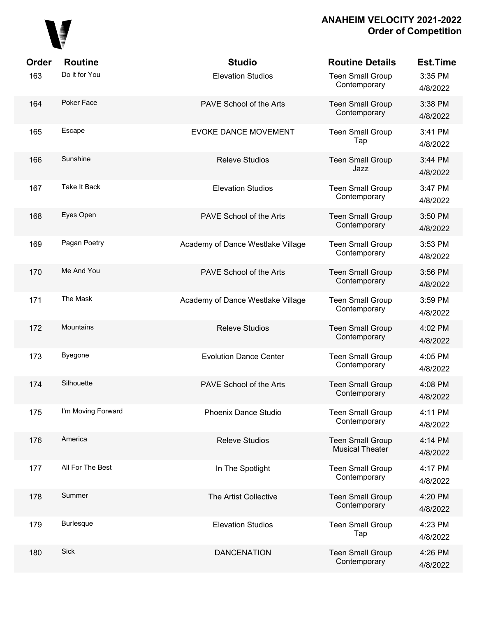

| Order | <b>Routine</b>      | <b>Studio</b>                     | <b>Routine Details</b>                            | <b>Est.Time</b>     |
|-------|---------------------|-----------------------------------|---------------------------------------------------|---------------------|
| 163   | Do it for You       | <b>Elevation Studios</b>          | <b>Teen Small Group</b><br>Contemporary           | 3:35 PM<br>4/8/2022 |
| 164   | Poker Face          | PAVE School of the Arts           | <b>Teen Small Group</b><br>Contemporary           | 3:38 PM<br>4/8/2022 |
| 165   | Escape              | <b>EVOKE DANCE MOVEMENT</b>       | <b>Teen Small Group</b><br>Tap                    | 3:41 PM<br>4/8/2022 |
| 166   | Sunshine            | <b>Releve Studios</b>             | <b>Teen Small Group</b><br>Jazz                   | 3:44 PM<br>4/8/2022 |
| 167   | <b>Take It Back</b> | <b>Elevation Studios</b>          | <b>Teen Small Group</b><br>Contemporary           | 3:47 PM<br>4/8/2022 |
| 168   | Eyes Open           | PAVE School of the Arts           | <b>Teen Small Group</b><br>Contemporary           | 3:50 PM<br>4/8/2022 |
| 169   | Pagan Poetry        | Academy of Dance Westlake Village | <b>Teen Small Group</b><br>Contemporary           | 3:53 PM<br>4/8/2022 |
| 170   | Me And You          | PAVE School of the Arts           | <b>Teen Small Group</b><br>Contemporary           | 3:56 PM<br>4/8/2022 |
| 171   | The Mask            | Academy of Dance Westlake Village | <b>Teen Small Group</b><br>Contemporary           | 3:59 PM<br>4/8/2022 |
| 172   | Mountains           | <b>Releve Studios</b>             | <b>Teen Small Group</b><br>Contemporary           | 4:02 PM<br>4/8/2022 |
| 173   | <b>Byegone</b>      | <b>Evolution Dance Center</b>     | <b>Teen Small Group</b><br>Contemporary           | 4:05 PM<br>4/8/2022 |
| 174   | Silhouette          | PAVE School of the Arts           | <b>Teen Small Group</b><br>Contemporary           | 4:08 PM<br>4/8/2022 |
| 175   | I'm Moving Forward  | Phoenix Dance Studio              | <b>Teen Small Group</b><br>Contemporary           | 4:11 PM<br>4/8/2022 |
| 176   | America             | <b>Releve Studios</b>             | <b>Teen Small Group</b><br><b>Musical Theater</b> | 4:14 PM<br>4/8/2022 |
| 177   | All For The Best    | In The Spotlight                  | <b>Teen Small Group</b><br>Contemporary           | 4:17 PM<br>4/8/2022 |
| 178   | Summer              | The Artist Collective             | <b>Teen Small Group</b><br>Contemporary           | 4:20 PM<br>4/8/2022 |
| 179   | <b>Burlesque</b>    | <b>Elevation Studios</b>          | <b>Teen Small Group</b><br>Tap                    | 4:23 PM<br>4/8/2022 |
| 180   | Sick                | <b>DANCENATION</b>                | <b>Teen Small Group</b><br>Contemporary           | 4:26 PM<br>4/8/2022 |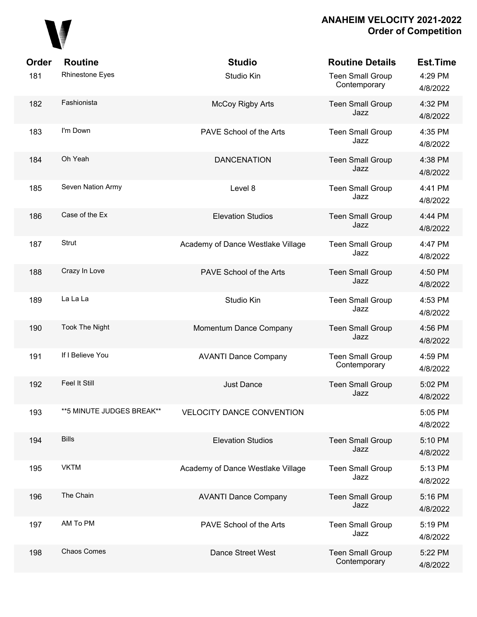

| Order | <b>Routine</b>             | <b>Studio</b>                     | <b>Routine Details</b>                  | <b>Est.Time</b>     |
|-------|----------------------------|-----------------------------------|-----------------------------------------|---------------------|
| 181   | Rhinestone Eyes            | Studio Kin                        | <b>Teen Small Group</b><br>Contemporary | 4:29 PM<br>4/8/2022 |
| 182   | Fashionista                | <b>McCoy Rigby Arts</b>           | <b>Teen Small Group</b><br>Jazz         | 4:32 PM<br>4/8/2022 |
| 183   | I'm Down                   | PAVE School of the Arts           | <b>Teen Small Group</b><br>Jazz         | 4:35 PM<br>4/8/2022 |
| 184   | Oh Yeah                    | <b>DANCENATION</b>                | <b>Teen Small Group</b><br>Jazz         | 4:38 PM<br>4/8/2022 |
| 185   | Seven Nation Army          | Level 8                           | <b>Teen Small Group</b><br>Jazz         | 4:41 PM<br>4/8/2022 |
| 186   | Case of the Ex             | <b>Elevation Studios</b>          | <b>Teen Small Group</b><br>Jazz         | 4:44 PM<br>4/8/2022 |
| 187   | Strut                      | Academy of Dance Westlake Village | <b>Teen Small Group</b><br>Jazz         | 4:47 PM<br>4/8/2022 |
| 188   | Crazy In Love              | PAVE School of the Arts           | <b>Teen Small Group</b><br>Jazz         | 4:50 PM<br>4/8/2022 |
| 189   | La La La                   | Studio Kin                        | <b>Teen Small Group</b><br>Jazz         | 4:53 PM<br>4/8/2022 |
| 190   | <b>Took The Night</b>      | Momentum Dance Company            | <b>Teen Small Group</b><br>Jazz         | 4:56 PM<br>4/8/2022 |
| 191   | If I Believe You           | <b>AVANTI Dance Company</b>       | <b>Teen Small Group</b><br>Contemporary | 4:59 PM<br>4/8/2022 |
| 192   | Feel It Still              | Just Dance                        | <b>Teen Small Group</b><br>Jazz         | 5:02 PM<br>4/8/2022 |
| 193   | ** 5 MINUTE JUDGES BREAK** | <b>VELOCITY DANCE CONVENTION</b>  |                                         | 5:05 PM<br>4/8/2022 |
| 194   | <b>Bills</b>               | <b>Elevation Studios</b>          | <b>Teen Small Group</b><br>Jazz         | 5:10 PM<br>4/8/2022 |
| 195   | <b>VKTM</b>                | Academy of Dance Westlake Village | <b>Teen Small Group</b><br>Jazz         | 5:13 PM<br>4/8/2022 |
| 196   | The Chain                  | <b>AVANTI Dance Company</b>       | <b>Teen Small Group</b><br>Jazz         | 5:16 PM<br>4/8/2022 |
| 197   | AM To PM                   | PAVE School of the Arts           | <b>Teen Small Group</b><br>Jazz         | 5:19 PM<br>4/8/2022 |
| 198   | Chaos Comes                | Dance Street West                 | <b>Teen Small Group</b><br>Contemporary | 5:22 PM<br>4/8/2022 |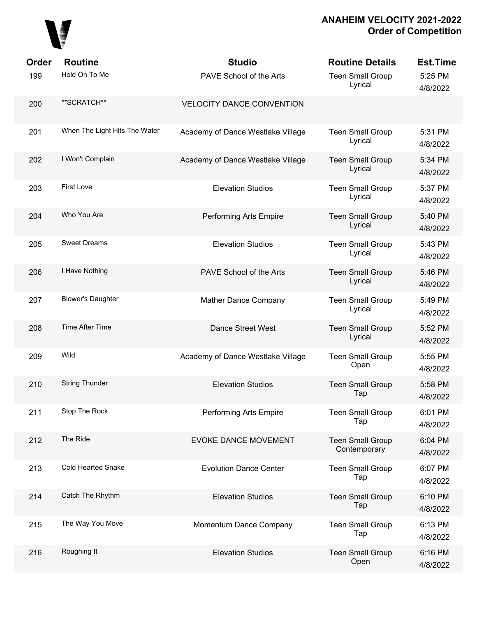# 

| Order | <b>Routine</b>                | <b>Studio</b>                     | <b>Routine Details</b>                  | Est.Time            |
|-------|-------------------------------|-----------------------------------|-----------------------------------------|---------------------|
| 199   | Hold On To Me                 | PAVE School of the Arts           | <b>Teen Small Group</b><br>Lyrical      | 5:25 PM<br>4/8/2022 |
| 200   | **SCRATCH**                   | <b>VELOCITY DANCE CONVENTION</b>  |                                         |                     |
| 201   | When The Light Hits The Water | Academy of Dance Westlake Village | <b>Teen Small Group</b><br>Lyrical      | 5:31 PM<br>4/8/2022 |
| 202   | I Won't Complain              | Academy of Dance Westlake Village | <b>Teen Small Group</b><br>Lyrical      | 5:34 PM<br>4/8/2022 |
| 203   | <b>First Love</b>             | <b>Elevation Studios</b>          | <b>Teen Small Group</b><br>Lyrical      | 5:37 PM<br>4/8/2022 |
| 204   | Who You Are                   | Performing Arts Empire            | <b>Teen Small Group</b><br>Lyrical      | 5:40 PM<br>4/8/2022 |
| 205   | <b>Sweet Dreams</b>           | <b>Elevation Studios</b>          | <b>Teen Small Group</b><br>Lyrical      | 5:43 PM<br>4/8/2022 |
| 206   | I Have Nothing                | PAVE School of the Arts           | <b>Teen Small Group</b><br>Lyrical      | 5:46 PM<br>4/8/2022 |
| 207   | <b>Blower's Daughter</b>      | Mather Dance Company              | <b>Teen Small Group</b><br>Lyrical      | 5:49 PM<br>4/8/2022 |
| 208   | Time After Time               | <b>Dance Street West</b>          | <b>Teen Small Group</b><br>Lyrical      | 5:52 PM<br>4/8/2022 |
| 209   | Wild                          | Academy of Dance Westlake Village | <b>Teen Small Group</b><br>Open         | 5:55 PM<br>4/8/2022 |
| 210   | <b>String Thunder</b>         | <b>Elevation Studios</b>          | <b>Teen Small Group</b><br>Tap          | 5:58 PM<br>4/8/2022 |
| 211   | Stop The Rock                 | Performing Arts Empire            | <b>Teen Small Group</b><br>Tap          | 6:01 PM<br>4/8/2022 |
| 212   | The Ride                      | EVOKE DANCE MOVEMENT              | <b>Teen Small Group</b><br>Contemporary | 6:04 PM<br>4/8/2022 |
| 213   | <b>Cold Hearted Snake</b>     | <b>Evolution Dance Center</b>     | <b>Teen Small Group</b><br>Tap          | 6:07 PM<br>4/8/2022 |
| 214   | Catch The Rhythm              | <b>Elevation Studios</b>          | <b>Teen Small Group</b><br>Tap          | 6:10 PM<br>4/8/2022 |
| 215   | The Way You Move              | Momentum Dance Company            | <b>Teen Small Group</b><br>Tap          | 6:13 PM<br>4/8/2022 |
| 216   | Roughing It                   | <b>Elevation Studios</b>          | <b>Teen Small Group</b><br>Open         | 6:16 PM<br>4/8/2022 |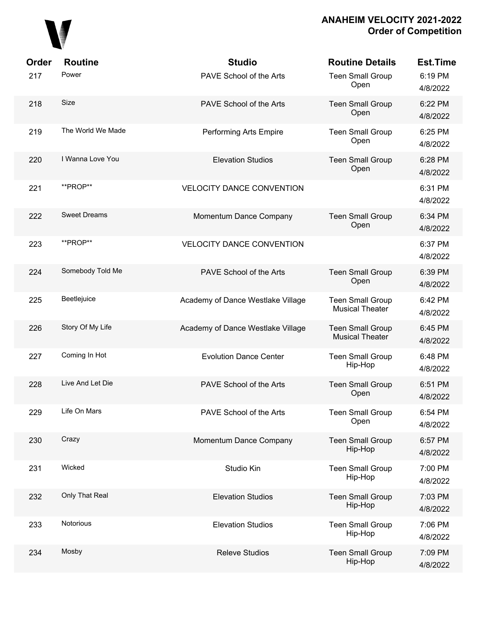

| Order | <b>Routine</b>      | <b>Studio</b>                     | <b>Routine Details</b>                            | <b>Est.Time</b>     |
|-------|---------------------|-----------------------------------|---------------------------------------------------|---------------------|
| 217   | Power               | PAVE School of the Arts           | <b>Teen Small Group</b><br>Open                   | 6:19 PM<br>4/8/2022 |
| 218   | Size                | PAVE School of the Arts           | <b>Teen Small Group</b><br>Open                   | 6:22 PM<br>4/8/2022 |
| 219   | The World We Made   | Performing Arts Empire            | <b>Teen Small Group</b><br>Open                   | 6:25 PM<br>4/8/2022 |
| 220   | I Wanna Love You    | <b>Elevation Studios</b>          | <b>Teen Small Group</b><br>Open                   | 6:28 PM<br>4/8/2022 |
| 221   | **PROP**            | <b>VELOCITY DANCE CONVENTION</b>  |                                                   | 6:31 PM<br>4/8/2022 |
| 222   | <b>Sweet Dreams</b> | Momentum Dance Company            | <b>Teen Small Group</b><br>Open                   | 6:34 PM<br>4/8/2022 |
| 223   | **PROP**            | <b>VELOCITY DANCE CONVENTION</b>  |                                                   | 6:37 PM<br>4/8/2022 |
| 224   | Somebody Told Me    | PAVE School of the Arts           | <b>Teen Small Group</b><br>Open                   | 6:39 PM<br>4/8/2022 |
| 225   | Beetlejuice         | Academy of Dance Westlake Village | <b>Teen Small Group</b><br><b>Musical Theater</b> | 6:42 PM<br>4/8/2022 |
| 226   | Story Of My Life    | Academy of Dance Westlake Village | <b>Teen Small Group</b><br><b>Musical Theater</b> | 6:45 PM<br>4/8/2022 |
| 227   | Coming In Hot       | <b>Evolution Dance Center</b>     | <b>Teen Small Group</b><br>Hip-Hop                | 6:48 PM<br>4/8/2022 |
| 228   | Live And Let Die    | PAVE School of the Arts           | <b>Teen Small Group</b><br>Open                   | 6:51 PM<br>4/8/2022 |
| 229   | Life On Mars        | PAVE School of the Arts           | <b>Teen Small Group</b><br>Open                   | 6:54 PM<br>4/8/2022 |
| 230   | Crazy               | Momentum Dance Company            | <b>Teen Small Group</b><br>Hip-Hop                | 6:57 PM<br>4/8/2022 |
| 231   | Wicked              | Studio Kin                        | <b>Teen Small Group</b><br>Hip-Hop                | 7:00 PM<br>4/8/2022 |
| 232   | Only That Real      | <b>Elevation Studios</b>          | <b>Teen Small Group</b><br>Hip-Hop                | 7:03 PM<br>4/8/2022 |
| 233   | Notorious           | <b>Elevation Studios</b>          | <b>Teen Small Group</b><br>Hip-Hop                | 7:06 PM<br>4/8/2022 |
| 234   | Mosby               | <b>Releve Studios</b>             | <b>Teen Small Group</b><br>Hip-Hop                | 7:09 PM<br>4/8/2022 |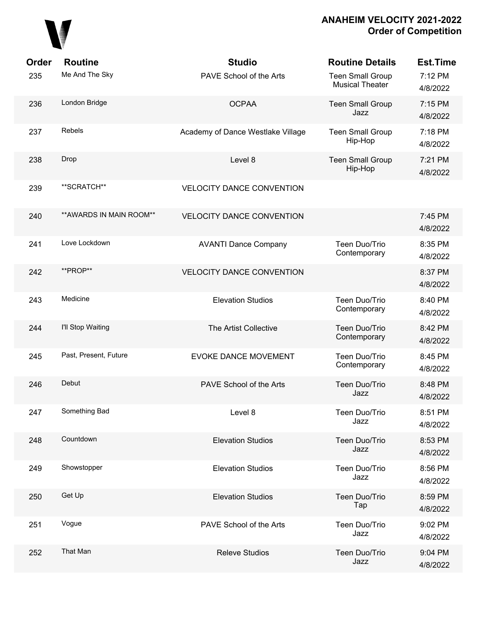

| Order | <b>Routine</b>           | <b>Studio</b>                     | <b>Routine Details</b>                            | <b>Est.Time</b>     |
|-------|--------------------------|-----------------------------------|---------------------------------------------------|---------------------|
| 235   | Me And The Sky           | PAVE School of the Arts           | <b>Teen Small Group</b><br><b>Musical Theater</b> | 7:12 PM<br>4/8/2022 |
| 236   | London Bridge            | <b>OCPAA</b>                      | <b>Teen Small Group</b><br>Jazz                   | 7:15 PM<br>4/8/2022 |
| 237   | Rebels                   | Academy of Dance Westlake Village | <b>Teen Small Group</b><br>Hip-Hop                | 7:18 PM<br>4/8/2022 |
| 238   | Drop                     | Level 8                           | <b>Teen Small Group</b><br>Hip-Hop                | 7:21 PM<br>4/8/2022 |
| 239   | **SCRATCH**              | <b>VELOCITY DANCE CONVENTION</b>  |                                                   |                     |
| 240   | ** AWARDS IN MAIN ROOM** | <b>VELOCITY DANCE CONVENTION</b>  |                                                   | 7:45 PM<br>4/8/2022 |
| 241   | Love Lockdown            | <b>AVANTI Dance Company</b>       | Teen Duo/Trio<br>Contemporary                     | 8:35 PM<br>4/8/2022 |
| 242   | **PROP**                 | <b>VELOCITY DANCE CONVENTION</b>  |                                                   | 8:37 PM<br>4/8/2022 |
| 243   | Medicine                 | <b>Elevation Studios</b>          | Teen Duo/Trio<br>Contemporary                     | 8:40 PM<br>4/8/2022 |
| 244   | I'll Stop Waiting        | The Artist Collective             | Teen Duo/Trio<br>Contemporary                     | 8:42 PM<br>4/8/2022 |
| 245   | Past, Present, Future    | <b>EVOKE DANCE MOVEMENT</b>       | Teen Duo/Trio<br>Contemporary                     | 8:45 PM<br>4/8/2022 |
| 246   | Debut                    | PAVE School of the Arts           | Teen Duo/Trio<br>Jazz                             | 8:48 PM<br>4/8/2022 |
| 247   | Something Bad            | Level 8                           | Teen Duo/Trio<br>Jazz                             | 8:51 PM<br>4/8/2022 |
| 248   | Countdown                | <b>Elevation Studios</b>          | Teen Duo/Trio<br>Jazz                             | 8:53 PM<br>4/8/2022 |
| 249   | Showstopper              | <b>Elevation Studios</b>          | Teen Duo/Trio<br>Jazz                             | 8:56 PM<br>4/8/2022 |
| 250   | Get Up                   | <b>Elevation Studios</b>          | Teen Duo/Trio<br>Tap                              | 8:59 PM<br>4/8/2022 |
| 251   | Vogue                    | PAVE School of the Arts           | Teen Duo/Trio<br>Jazz                             | 9:02 PM<br>4/8/2022 |
| 252   | That Man                 | <b>Releve Studios</b>             | Teen Duo/Trio<br>Jazz                             | 9:04 PM<br>4/8/2022 |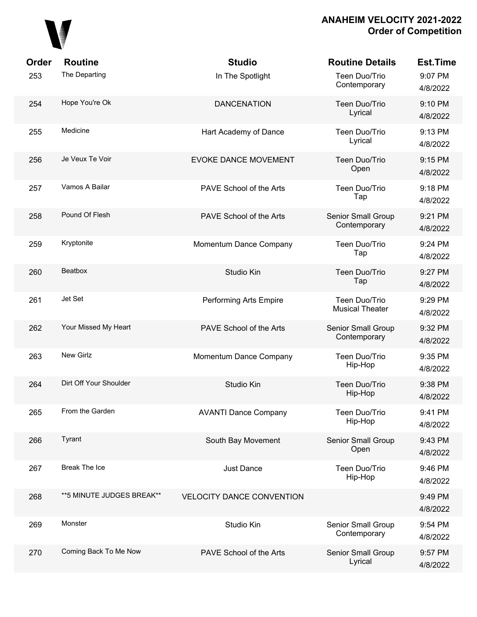

| Order | <b>Routine</b>             | <b>Studio</b>                    | <b>Routine Details</b>                    | <b>Est.Time</b>     |
|-------|----------------------------|----------------------------------|-------------------------------------------|---------------------|
| 253   | The Departing              | In The Spotlight                 | Teen Duo/Trio<br>Contemporary             | 9:07 PM<br>4/8/2022 |
| 254   | Hope You're Ok             | <b>DANCENATION</b>               | Teen Duo/Trio<br>Lyrical                  | 9:10 PM<br>4/8/2022 |
| 255   | Medicine                   | Hart Academy of Dance            | Teen Duo/Trio<br>Lyrical                  | 9:13 PM<br>4/8/2022 |
| 256   | Je Veux Te Voir            | <b>EVOKE DANCE MOVEMENT</b>      | Teen Duo/Trio<br>Open                     | 9:15 PM<br>4/8/2022 |
| 257   | Vamos A Bailar             | PAVE School of the Arts          | Teen Duo/Trio<br>Tap                      | 9:18 PM<br>4/8/2022 |
| 258   | Pound Of Flesh             | PAVE School of the Arts          | <b>Senior Small Group</b><br>Contemporary | 9:21 PM<br>4/8/2022 |
| 259   | Kryptonite                 | Momentum Dance Company           | Teen Duo/Trio<br>Tap                      | 9:24 PM<br>4/8/2022 |
| 260   | Beatbox                    | Studio Kin                       | Teen Duo/Trio<br>Tap                      | 9:27 PM<br>4/8/2022 |
| 261   | Jet Set                    | Performing Arts Empire           | Teen Duo/Trio<br><b>Musical Theater</b>   | 9:29 PM<br>4/8/2022 |
| 262   | Your Missed My Heart       | PAVE School of the Arts          | Senior Small Group<br>Contemporary        | 9:32 PM<br>4/8/2022 |
| 263   | New Girlz                  | Momentum Dance Company           | Teen Duo/Trio<br>Hip-Hop                  | 9:35 PM<br>4/8/2022 |
| 264   | Dirt Off Your Shoulder     | Studio Kin                       | Teen Duo/Trio<br>Hip-Hop                  | 9:38 PM<br>4/8/2022 |
| 265   | From the Garden            | <b>AVANTI Dance Company</b>      | Teen Duo/Trio<br>Hip-Hop                  | 9:41 PM<br>4/8/2022 |
| 266   | Tyrant                     | South Bay Movement               | Senior Small Group<br>Open                | 9:43 PM<br>4/8/2022 |
| 267   | <b>Break The Ice</b>       | <b>Just Dance</b>                | Teen Duo/Trio<br>Hip-Hop                  | 9:46 PM<br>4/8/2022 |
| 268   | ** 5 MINUTE JUDGES BREAK** | <b>VELOCITY DANCE CONVENTION</b> |                                           | 9:49 PM<br>4/8/2022 |
| 269   | Monster                    | Studio Kin                       | Senior Small Group<br>Contemporary        | 9:54 PM<br>4/8/2022 |
| 270   | Coming Back To Me Now      | PAVE School of the Arts          | Senior Small Group<br>Lyrical             | 9:57 PM<br>4/8/2022 |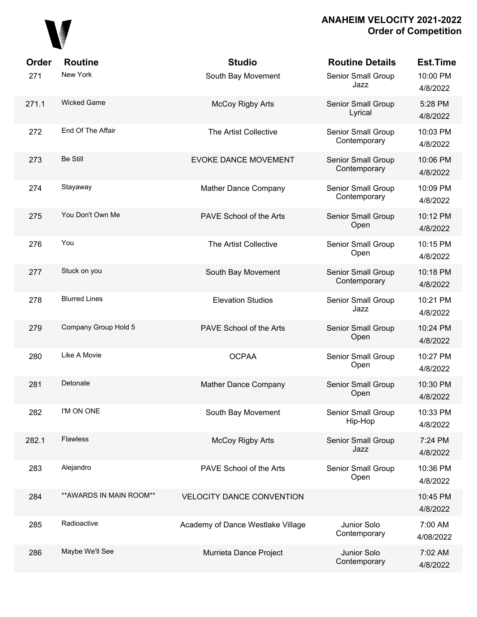

| <b>Order</b> | <b>Routine</b>           | <b>Studio</b>                     | <b>Routine Details</b>             | <b>Est.Time</b>      |
|--------------|--------------------------|-----------------------------------|------------------------------------|----------------------|
| 271          | New York                 | South Bay Movement                | Senior Small Group<br>Jazz         | 10:00 PM<br>4/8/2022 |
| 271.1        | <b>Wicked Game</b>       | <b>McCoy Rigby Arts</b>           | Senior Small Group<br>Lyrical      | 5:28 PM<br>4/8/2022  |
| 272          | End Of The Affair        | The Artist Collective             | Senior Small Group<br>Contemporary | 10:03 PM<br>4/8/2022 |
| 273          | <b>Be Still</b>          | <b>EVOKE DANCE MOVEMENT</b>       | Senior Small Group<br>Contemporary | 10:06 PM<br>4/8/2022 |
| 274          | Stayaway                 | Mather Dance Company              | Senior Small Group<br>Contemporary | 10:09 PM<br>4/8/2022 |
| 275          | You Don't Own Me         | PAVE School of the Arts           | Senior Small Group<br>Open         | 10:12 PM<br>4/8/2022 |
| 276          | You                      | The Artist Collective             | <b>Senior Small Group</b><br>Open  | 10:15 PM<br>4/8/2022 |
| 277          | Stuck on you             | South Bay Movement                | Senior Small Group<br>Contemporary | 10:18 PM<br>4/8/2022 |
| 278          | <b>Blurred Lines</b>     | <b>Elevation Studios</b>          | Senior Small Group<br>Jazz         | 10:21 PM<br>4/8/2022 |
| 279          | Company Group Hold 5     | PAVE School of the Arts           | Senior Small Group<br>Open         | 10:24 PM<br>4/8/2022 |
| 280          | Like A Movie             | <b>OCPAA</b>                      | Senior Small Group<br>Open         | 10:27 PM<br>4/8/2022 |
| 281          | Detonate                 | <b>Mather Dance Company</b>       | Senior Small Group<br>Open         | 10:30 PM<br>4/8/2022 |
| 282          | I'M ON ONE               | South Bay Movement                | Senior Small Group<br>Hip-Hop      | 10:33 PM<br>4/8/2022 |
| 282.1        | <b>Flawless</b>          | McCoy Rigby Arts                  | Senior Small Group<br>Jazz         | 7:24 PM<br>4/8/2022  |
| 283          | Alejandro                | PAVE School of the Arts           | Senior Small Group<br>Open         | 10:36 PM<br>4/8/2022 |
| 284          | ** AWARDS IN MAIN ROOM** | <b>VELOCITY DANCE CONVENTION</b>  |                                    | 10:45 PM<br>4/8/2022 |
| 285          | Radioactive              | Academy of Dance Westlake Village | Junior Solo<br>Contemporary        | 7:00 AM<br>4/08/2022 |
| 286          | Maybe We'll See          | Murrieta Dance Project            | Junior Solo<br>Contemporary        | 7:02 AM<br>4/8/2022  |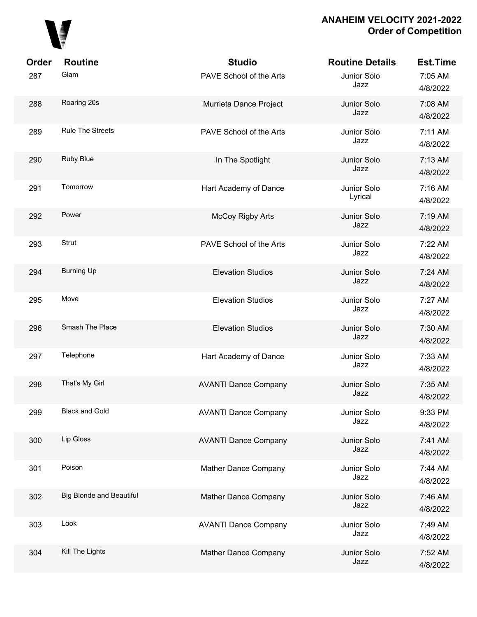

| Order | <b>Routine</b>                  | <b>Studio</b>               | <b>Routine Details</b> | <b>Est.Time</b>     |
|-------|---------------------------------|-----------------------------|------------------------|---------------------|
| 287   | Glam                            | PAVE School of the Arts     | Junior Solo<br>Jazz    | 7:05 AM<br>4/8/2022 |
| 288   | Roaring 20s                     | Murrieta Dance Project      | Junior Solo<br>Jazz    | 7:08 AM<br>4/8/2022 |
| 289   | <b>Rule The Streets</b>         | PAVE School of the Arts     | Junior Solo<br>Jazz    | 7:11 AM<br>4/8/2022 |
| 290   | Ruby Blue                       | In The Spotlight            | Junior Solo<br>Jazz    | 7:13 AM<br>4/8/2022 |
| 291   | Tomorrow                        | Hart Academy of Dance       | Junior Solo<br>Lyrical | 7:16 AM<br>4/8/2022 |
| 292   | Power                           | <b>McCoy Rigby Arts</b>     | Junior Solo<br>Jazz    | 7:19 AM<br>4/8/2022 |
| 293   | <b>Strut</b>                    | PAVE School of the Arts     | Junior Solo<br>Jazz    | 7:22 AM<br>4/8/2022 |
| 294   | <b>Burning Up</b>               | <b>Elevation Studios</b>    | Junior Solo<br>Jazz    | 7:24 AM<br>4/8/2022 |
| 295   | Move                            | <b>Elevation Studios</b>    | Junior Solo<br>Jazz    | 7:27 AM<br>4/8/2022 |
| 296   | Smash The Place                 | <b>Elevation Studios</b>    | Junior Solo<br>Jazz    | 7:30 AM<br>4/8/2022 |
| 297   | Telephone                       | Hart Academy of Dance       | Junior Solo<br>Jazz    | 7:33 AM<br>4/8/2022 |
| 298   | That's My Girl                  | <b>AVANTI Dance Company</b> | Junior Solo<br>Jazz    | 7:35 AM<br>4/8/2022 |
| 299   | <b>Black and Gold</b>           | <b>AVANTI Dance Company</b> | Junior Solo<br>Jazz    | 9:33 PM<br>4/8/2022 |
| 300   | Lip Gloss                       | <b>AVANTI Dance Company</b> | Junior Solo<br>Jazz    | 7:41 AM<br>4/8/2022 |
| 301   | Poison                          | Mather Dance Company        | Junior Solo<br>Jazz    | 7:44 AM<br>4/8/2022 |
| 302   | <b>Big Blonde and Beautiful</b> | Mather Dance Company        | Junior Solo<br>Jazz    | 7:46 AM<br>4/8/2022 |
| 303   | Look                            | <b>AVANTI Dance Company</b> | Junior Solo<br>Jazz    | 7:49 AM<br>4/8/2022 |
| 304   | Kill The Lights                 | Mather Dance Company        | Junior Solo<br>Jazz    | 7:52 AM<br>4/8/2022 |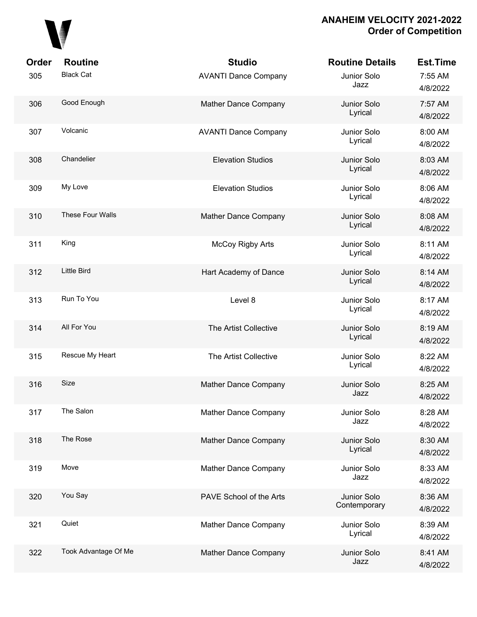# 

| Order | <b>Routine</b>          | <b>Studio</b>               | <b>Routine Details</b>      | <b>Est.Time</b>     |
|-------|-------------------------|-----------------------------|-----------------------------|---------------------|
| 305   | <b>Black Cat</b>        | <b>AVANTI Dance Company</b> | Junior Solo<br>Jazz         | 7:55 AM<br>4/8/2022 |
| 306   | Good Enough             | Mather Dance Company        | Junior Solo<br>Lyrical      | 7:57 AM<br>4/8/2022 |
| 307   | Volcanic                | <b>AVANTI Dance Company</b> | Junior Solo<br>Lyrical      | 8:00 AM<br>4/8/2022 |
| 308   | Chandelier              | <b>Elevation Studios</b>    | Junior Solo<br>Lyrical      | 8:03 AM<br>4/8/2022 |
| 309   | My Love                 | <b>Elevation Studios</b>    | Junior Solo<br>Lyrical      | 8:06 AM<br>4/8/2022 |
| 310   | <b>These Four Walls</b> | Mather Dance Company        | Junior Solo<br>Lyrical      | 8:08 AM<br>4/8/2022 |
| 311   | King                    | <b>McCoy Rigby Arts</b>     | Junior Solo<br>Lyrical      | 8:11 AM<br>4/8/2022 |
| 312   | <b>Little Bird</b>      | Hart Academy of Dance       | Junior Solo<br>Lyrical      | 8:14 AM<br>4/8/2022 |
| 313   | Run To You              | Level 8                     | Junior Solo<br>Lyrical      | 8:17 AM<br>4/8/2022 |
| 314   | All For You             | The Artist Collective       | Junior Solo<br>Lyrical      | 8:19 AM<br>4/8/2022 |
| 315   | Rescue My Heart         | The Artist Collective       | Junior Solo<br>Lyrical      | 8:22 AM<br>4/8/2022 |
| 316   | Size                    | Mather Dance Company        | Junior Solo<br>Jazz         | 8:25 AM<br>4/8/2022 |
| 317   | The Salon               | Mather Dance Company        | Junior Solo<br>Jazz         | 8:28 AM<br>4/8/2022 |
| 318   | The Rose                | Mather Dance Company        | Junior Solo<br>Lyrical      | 8:30 AM<br>4/8/2022 |
| 319   | Move                    | Mather Dance Company        | Junior Solo<br>Jazz         | 8:33 AM<br>4/8/2022 |
| 320   | You Say                 | PAVE School of the Arts     | Junior Solo<br>Contemporary | 8:36 AM<br>4/8/2022 |
| 321   | Quiet                   | Mather Dance Company        | Junior Solo<br>Lyrical      | 8:39 AM<br>4/8/2022 |
| 322   | Took Advantage Of Me    | Mather Dance Company        | Junior Solo<br>Jazz         | 8:41 AM<br>4/8/2022 |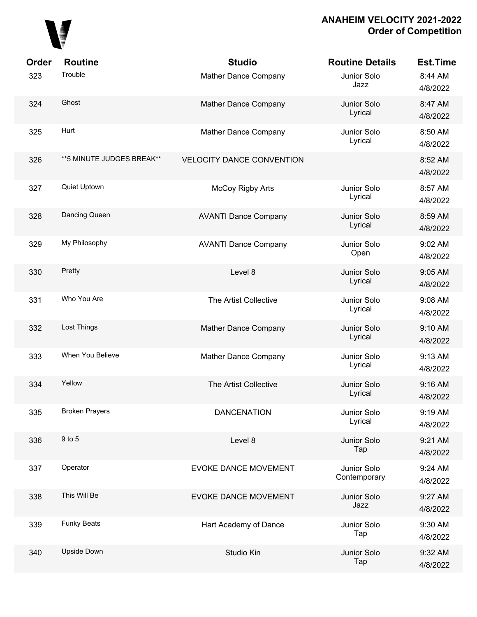

| Order<br>323 | <b>Routine</b><br>Trouble  | <b>Studio</b><br>Mather Dance Company | <b>Routine Details</b><br>Junior Solo<br>Jazz | <b>Est.Time</b><br>8:44 AM      |
|--------------|----------------------------|---------------------------------------|-----------------------------------------------|---------------------------------|
| 324          | Ghost                      | Mather Dance Company                  | Junior Solo<br>Lyrical                        | 4/8/2022<br>8:47 AM             |
| 325          | Hurt                       | Mather Dance Company                  | Junior Solo<br>Lyrical                        | 4/8/2022<br>8:50 AM             |
| 326          | ** 5 MINUTE JUDGES BREAK** | <b>VELOCITY DANCE CONVENTION</b>      |                                               | 4/8/2022<br>8:52 AM<br>4/8/2022 |
| 327          | Quiet Uptown               | <b>McCoy Rigby Arts</b>               | Junior Solo<br>Lyrical                        | 8:57 AM<br>4/8/2022             |
| 328          | Dancing Queen              | <b>AVANTI Dance Company</b>           | Junior Solo<br>Lyrical                        | 8:59 AM<br>4/8/2022             |
| 329          | My Philosophy              | <b>AVANTI Dance Company</b>           | Junior Solo<br>Open                           | 9:02 AM<br>4/8/2022             |
| 330          | Pretty                     | Level 8                               | Junior Solo<br>Lyrical                        | 9:05 AM<br>4/8/2022             |
| 331          | Who You Are                | The Artist Collective                 | Junior Solo<br>Lyrical                        | 9:08 AM<br>4/8/2022             |
| 332          | Lost Things                | Mather Dance Company                  | Junior Solo<br>Lyrical                        | 9:10 AM<br>4/8/2022             |
| 333          | When You Believe           | Mather Dance Company                  | Junior Solo<br>Lyrical                        | 9:13 AM<br>4/8/2022             |
| 334          | Yellow                     | The Artist Collective                 | Junior Solo<br>Lyrical                        | 9:16 AM<br>4/8/2022             |
| 335          | <b>Broken Prayers</b>      | <b>DANCENATION</b>                    | Junior Solo<br>Lyrical                        | 9:19 AM<br>4/8/2022             |
| 336          | 9 to 5                     | Level 8                               | Junior Solo<br>Tap                            | 9:21 AM<br>4/8/2022             |
| 337          | Operator                   | <b>EVOKE DANCE MOVEMENT</b>           | Junior Solo<br>Contemporary                   | 9:24 AM<br>4/8/2022             |
| 338          | This Will Be               | EVOKE DANCE MOVEMENT                  | Junior Solo<br>Jazz                           | 9:27 AM<br>4/8/2022             |
| 339          | <b>Funky Beats</b>         | Hart Academy of Dance                 | Junior Solo<br>Tap                            | 9:30 AM<br>4/8/2022             |
| 340          | <b>Upside Down</b>         | Studio Kin                            | Junior Solo<br>Tap                            | 9:32 AM<br>4/8/2022             |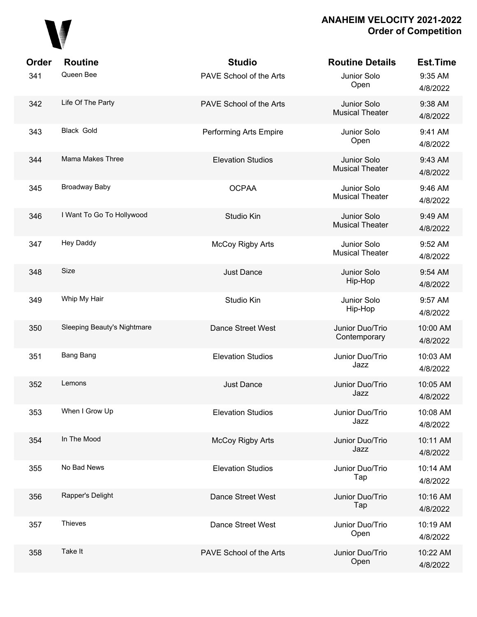# 

| Order | <b>Routine</b>              | <b>Studio</b>            | <b>Routine Details</b>                | <b>Est.Time</b>      |
|-------|-----------------------------|--------------------------|---------------------------------------|----------------------|
| 341   | Queen Bee                   | PAVE School of the Arts  | Junior Solo<br>Open                   | 9:35 AM<br>4/8/2022  |
| 342   | Life Of The Party           | PAVE School of the Arts  | Junior Solo<br><b>Musical Theater</b> | 9:38 AM<br>4/8/2022  |
| 343   | Black Gold                  | Performing Arts Empire   | Junior Solo<br>Open                   | 9:41 AM<br>4/8/2022  |
| 344   | Mama Makes Three            | <b>Elevation Studios</b> | Junior Solo<br><b>Musical Theater</b> | 9:43 AM<br>4/8/2022  |
| 345   | <b>Broadway Baby</b>        | <b>OCPAA</b>             | Junior Solo<br><b>Musical Theater</b> | 9:46 AM<br>4/8/2022  |
| 346   | I Want To Go To Hollywood   | Studio Kin               | Junior Solo<br><b>Musical Theater</b> | 9:49 AM<br>4/8/2022  |
| 347   | <b>Hey Daddy</b>            | <b>McCoy Rigby Arts</b>  | Junior Solo<br><b>Musical Theater</b> | 9:52 AM<br>4/8/2022  |
| 348   | Size                        | Just Dance               | Junior Solo<br>Hip-Hop                | 9:54 AM<br>4/8/2022  |
| 349   | Whip My Hair                | Studio Kin               | Junior Solo<br>Hip-Hop                | 9:57 AM<br>4/8/2022  |
| 350   | Sleeping Beauty's Nightmare | Dance Street West        | Junior Duo/Trio<br>Contemporary       | 10:00 AM<br>4/8/2022 |
| 351   | Bang Bang                   | <b>Elevation Studios</b> | Junior Duo/Trio<br>Jazz               | 10:03 AM<br>4/8/2022 |
| 352   | Lemons                      | <b>Just Dance</b>        | Junior Duo/Trio<br>Jazz               | 10:05 AM<br>4/8/2022 |
| 353   | When I Grow Up              | <b>Elevation Studios</b> | Junior Duo/Trio<br>Jazz               | 10:08 AM<br>4/8/2022 |
| 354   | In The Mood                 | McCoy Rigby Arts         | Junior Duo/Trio<br>Jazz               | 10:11 AM<br>4/8/2022 |
| 355   | No Bad News                 | <b>Elevation Studios</b> | Junior Duo/Trio<br>Tap                | 10:14 AM<br>4/8/2022 |
| 356   | Rapper's Delight            | Dance Street West        | Junior Duo/Trio<br>Tap                | 10:16 AM<br>4/8/2022 |
| 357   | <b>Thieves</b>              | Dance Street West        | Junior Duo/Trio<br>Open               | 10:19 AM<br>4/8/2022 |
| 358   | Take It                     | PAVE School of the Arts  | Junior Duo/Trio<br>Open               | 10:22 AM<br>4/8/2022 |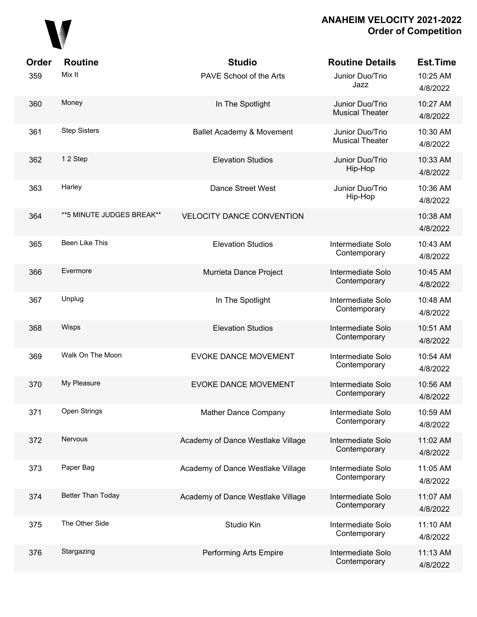

| Order | <b>Routine</b>            | <b>Studio</b>                     | <b>Routine Details</b>                    | <b>Est.Time</b>      |
|-------|---------------------------|-----------------------------------|-------------------------------------------|----------------------|
| 359   | Mix It                    | PAVE School of the Arts           | Junior Duo/Trio<br>Jazz                   | 10:25 AM<br>4/8/2022 |
| 360   | Money                     | In The Spotlight                  | Junior Duo/Trio<br><b>Musical Theater</b> | 10:27 AM<br>4/8/2022 |
| 361   | <b>Step Sisters</b>       | Ballet Academy & Movement         | Junior Duo/Trio<br><b>Musical Theater</b> | 10:30 AM<br>4/8/2022 |
| 362   | 12 Step                   | <b>Elevation Studios</b>          | Junior Duo/Trio<br>Hip-Hop                | 10:33 AM<br>4/8/2022 |
| 363   | Harley                    | Dance Street West                 | Junior Duo/Trio<br>Hip-Hop                | 10:36 AM<br>4/8/2022 |
| 364   | **5 MINUTE JUDGES BREAK** | <b>VELOCITY DANCE CONVENTION</b>  |                                           | 10:38 AM<br>4/8/2022 |
| 365   | Been Like This            | <b>Elevation Studios</b>          | Intermediate Solo<br>Contemporary         | 10:43 AM<br>4/8/2022 |
| 366   | Evermore                  | Murrieta Dance Project            | Intermediate Solo<br>Contemporary         | 10:45 AM<br>4/8/2022 |
| 367   | Unplug                    | In The Spotlight                  | Intermediate Solo<br>Contemporary         | 10:48 AM<br>4/8/2022 |
| 368   | Wisps                     | <b>Elevation Studios</b>          | Intermediate Solo<br>Contemporary         | 10:51 AM<br>4/8/2022 |
| 369   | Walk On The Moon          | <b>EVOKE DANCE MOVEMENT</b>       | Intermediate Solo<br>Contemporary         | 10:54 AM<br>4/8/2022 |
| 370   | My Pleasure               | <b>EVOKE DANCE MOVEMENT</b>       | Intermediate Solo<br>Contemporary         | 10:56 AM<br>4/8/2022 |
| 371   | Open Strings              | <b>Mather Dance Company</b>       | Intermediate Solo<br>Contemporary         | 10:59 AM<br>4/8/2022 |
| 372   | Nervous                   | Academy of Dance Westlake Village | Intermediate Solo<br>Contemporary         | 11:02 AM<br>4/8/2022 |
| 373   | Paper Bag                 | Academy of Dance Westlake Village | Intermediate Solo<br>Contemporary         | 11:05 AM<br>4/8/2022 |
| 374   | Better Than Today         | Academy of Dance Westlake Village | Intermediate Solo<br>Contemporary         | 11:07 AM<br>4/8/2022 |
| 375   | The Other Side            | Studio Kin                        | Intermediate Solo<br>Contemporary         | 11:10 AM<br>4/8/2022 |
| 376   | Stargazing                | Performing Arts Empire            | Intermediate Solo<br>Contemporary         | 11:13 AM<br>4/8/2022 |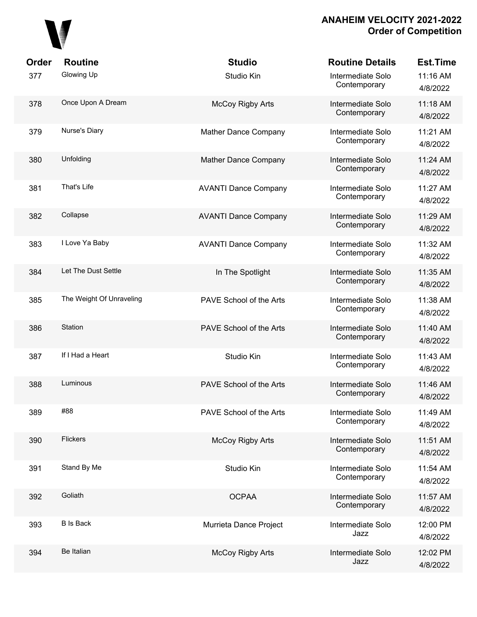

| Order | <b>Routine</b>           | <b>Studio</b>               | <b>Routine Details</b>            | Est.Time             |
|-------|--------------------------|-----------------------------|-----------------------------------|----------------------|
| 377   | Glowing Up               | Studio Kin                  | Intermediate Solo<br>Contemporary | 11:16 AM<br>4/8/2022 |
| 378   | Once Upon A Dream        | <b>McCoy Rigby Arts</b>     | Intermediate Solo<br>Contemporary | 11:18 AM<br>4/8/2022 |
| 379   | Nurse's Diary            | Mather Dance Company        | Intermediate Solo<br>Contemporary | 11:21 AM<br>4/8/2022 |
| 380   | Unfolding                | Mather Dance Company        | Intermediate Solo<br>Contemporary | 11:24 AM<br>4/8/2022 |
| 381   | That's Life              | <b>AVANTI Dance Company</b> | Intermediate Solo<br>Contemporary | 11:27 AM<br>4/8/2022 |
| 382   | Collapse                 | <b>AVANTI Dance Company</b> | Intermediate Solo<br>Contemporary | 11:29 AM<br>4/8/2022 |
| 383   | I Love Ya Baby           | <b>AVANTI Dance Company</b> | Intermediate Solo<br>Contemporary | 11:32 AM<br>4/8/2022 |
| 384   | Let The Dust Settle      | In The Spotlight            | Intermediate Solo<br>Contemporary | 11:35 AM<br>4/8/2022 |
| 385   | The Weight Of Unraveling | PAVE School of the Arts     | Intermediate Solo<br>Contemporary | 11:38 AM<br>4/8/2022 |
| 386   | Station                  | PAVE School of the Arts     | Intermediate Solo<br>Contemporary | 11:40 AM<br>4/8/2022 |
| 387   | If I Had a Heart         | Studio Kin                  | Intermediate Solo<br>Contemporary | 11:43 AM<br>4/8/2022 |
| 388   | Luminous                 | PAVE School of the Arts     | Intermediate Solo<br>Contemporary | 11:46 AM<br>4/8/2022 |
| 389   | #88                      | PAVE School of the Arts     | Intermediate Solo<br>Contemporary | 11:49 AM<br>4/8/2022 |
| 390   | <b>Flickers</b>          | <b>McCoy Rigby Arts</b>     | Intermediate Solo<br>Contemporary | 11:51 AM<br>4/8/2022 |
| 391   | Stand By Me              | Studio Kin                  | Intermediate Solo<br>Contemporary | 11:54 AM<br>4/8/2022 |
| 392   | Goliath                  | <b>OCPAA</b>                | Intermediate Solo<br>Contemporary | 11:57 AM<br>4/8/2022 |
| 393   | <b>B</b> Is Back         | Murrieta Dance Project      | Intermediate Solo<br>Jazz         | 12:00 PM<br>4/8/2022 |
| 394   | Be Italian               | <b>McCoy Rigby Arts</b>     | Intermediate Solo<br>Jazz         | 12:02 PM<br>4/8/2022 |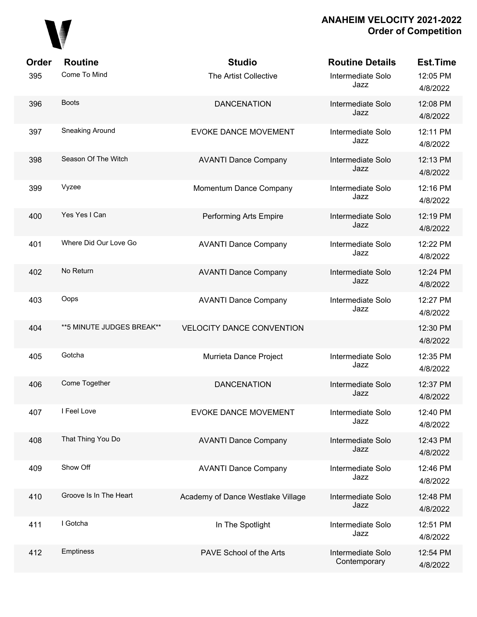

| Order | <b>Routine</b>             | <b>Studio</b>                     | <b>Routine Details</b>            | <b>Est.Time</b>      |
|-------|----------------------------|-----------------------------------|-----------------------------------|----------------------|
| 395   | Come To Mind               | The Artist Collective             | Intermediate Solo<br>Jazz         | 12:05 PM<br>4/8/2022 |
| 396   | <b>Boots</b>               | <b>DANCENATION</b>                | Intermediate Solo<br>Jazz         | 12:08 PM<br>4/8/2022 |
| 397   | Sneaking Around            | <b>EVOKE DANCE MOVEMENT</b>       | Intermediate Solo<br>Jazz         | 12:11 PM<br>4/8/2022 |
| 398   | Season Of The Witch        | <b>AVANTI Dance Company</b>       | Intermediate Solo<br>Jazz         | 12:13 PM<br>4/8/2022 |
| 399   | Vyzee                      | Momentum Dance Company            | Intermediate Solo<br>Jazz         | 12:16 PM<br>4/8/2022 |
| 400   | Yes Yes I Can              | Performing Arts Empire            | Intermediate Solo<br>Jazz         | 12:19 PM<br>4/8/2022 |
| 401   | Where Did Our Love Go      | <b>AVANTI Dance Company</b>       | Intermediate Solo<br>Jazz         | 12:22 PM<br>4/8/2022 |
| 402   | No Return                  | <b>AVANTI Dance Company</b>       | Intermediate Solo<br>Jazz         | 12:24 PM<br>4/8/2022 |
| 403   | Oops                       | <b>AVANTI Dance Company</b>       | Intermediate Solo<br>Jazz         | 12:27 PM<br>4/8/2022 |
| 404   | ** 5 MINUTE JUDGES BREAK** | <b>VELOCITY DANCE CONVENTION</b>  |                                   | 12:30 PM<br>4/8/2022 |
| 405   | Gotcha                     | Murrieta Dance Project            | Intermediate Solo<br>Jazz         | 12:35 PM<br>4/8/2022 |
| 406   | Come Together              | <b>DANCENATION</b>                | Intermediate Solo<br>Jazz         | 12:37 PM<br>4/8/2022 |
| 407   | I Feel Love                | <b>EVOKE DANCE MOVEMENT</b>       | Intermediate Solo<br>Jazz         | 12:40 PM<br>4/8/2022 |
| 408   | That Thing You Do          | <b>AVANTI Dance Company</b>       | Intermediate Solo<br>Jazz         | 12:43 PM<br>4/8/2022 |
| 409   | Show Off                   | <b>AVANTI Dance Company</b>       | Intermediate Solo<br>Jazz         | 12:46 PM<br>4/8/2022 |
| 410   | Groove Is In The Heart     | Academy of Dance Westlake Village | Intermediate Solo<br>Jazz         | 12:48 PM<br>4/8/2022 |
| 411   | I Gotcha                   | In The Spotlight                  | Intermediate Solo<br>Jazz         | 12:51 PM<br>4/8/2022 |
| 412   | Emptiness                  | PAVE School of the Arts           | Intermediate Solo<br>Contemporary | 12:54 PM<br>4/8/2022 |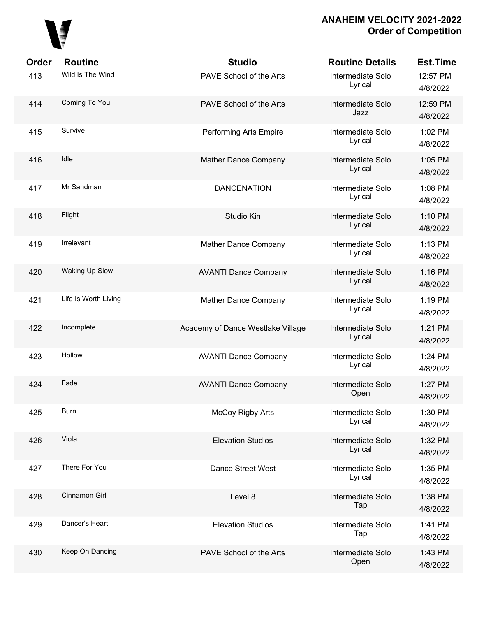

| <b>Order</b> | <b>Routine</b>       | <b>Studio</b>                     | <b>Routine Details</b>       | <b>Est.Time</b>      |
|--------------|----------------------|-----------------------------------|------------------------------|----------------------|
| 413          | Wild Is The Wind     | PAVE School of the Arts           | Intermediate Solo<br>Lyrical | 12:57 PM<br>4/8/2022 |
| 414          | Coming To You        | PAVE School of the Arts           | Intermediate Solo<br>Jazz    | 12:59 PM<br>4/8/2022 |
| 415          | Survive              | Performing Arts Empire            | Intermediate Solo<br>Lyrical | 1:02 PM<br>4/8/2022  |
| 416          | Idle                 | Mather Dance Company              | Intermediate Solo<br>Lyrical | 1:05 PM<br>4/8/2022  |
| 417          | Mr Sandman           | <b>DANCENATION</b>                | Intermediate Solo<br>Lyrical | 1:08 PM<br>4/8/2022  |
| 418          | Flight               | Studio Kin                        | Intermediate Solo<br>Lyrical | 1:10 PM<br>4/8/2022  |
| 419          | Irrelevant           | Mather Dance Company              | Intermediate Solo<br>Lyrical | 1:13 PM<br>4/8/2022  |
| 420          | Waking Up Slow       | <b>AVANTI Dance Company</b>       | Intermediate Solo<br>Lyrical | 1:16 PM<br>4/8/2022  |
| 421          | Life Is Worth Living | Mather Dance Company              | Intermediate Solo<br>Lyrical | 1:19 PM<br>4/8/2022  |
| 422          | Incomplete           | Academy of Dance Westlake Village | Intermediate Solo<br>Lyrical | 1:21 PM<br>4/8/2022  |
| 423          | Hollow               | <b>AVANTI Dance Company</b>       | Intermediate Solo<br>Lyrical | 1:24 PM<br>4/8/2022  |
| 424          | Fade                 | <b>AVANTI Dance Company</b>       | Intermediate Solo<br>Open    | 1:27 PM<br>4/8/2022  |
| 425          | <b>Burn</b>          | <b>McCoy Rigby Arts</b>           | Intermediate Solo<br>Lyrical | 1:30 PM<br>4/8/2022  |
| 426          | Viola                | <b>Elevation Studios</b>          | Intermediate Solo<br>Lyrical | 1:32 PM<br>4/8/2022  |
| 427          | There For You        | Dance Street West                 | Intermediate Solo<br>Lyrical | 1:35 PM<br>4/8/2022  |
| 428          | Cinnamon Girl        | Level 8                           | Intermediate Solo<br>Tap     | 1:38 PM<br>4/8/2022  |
| 429          | Dancer's Heart       | <b>Elevation Studios</b>          | Intermediate Solo<br>Tap     | 1:41 PM<br>4/8/2022  |
| 430          | Keep On Dancing      | PAVE School of the Arts           | Intermediate Solo<br>Open    | 1:43 PM<br>4/8/2022  |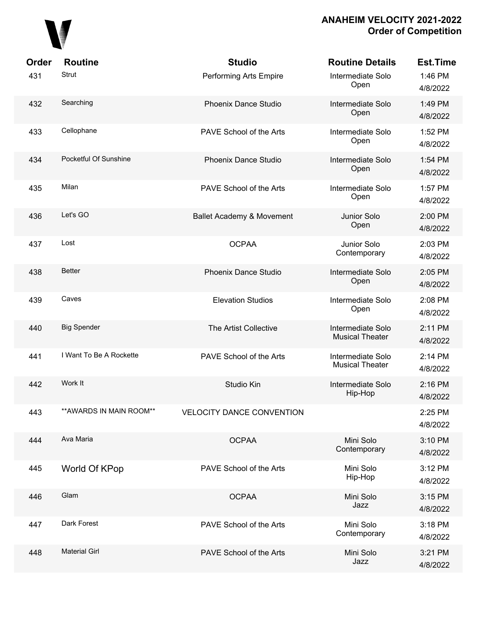

| Order<br>431 | <b>Routine</b><br>Strut  | <b>Studio</b><br>Performing Arts Empire | <b>Routine Details</b><br>Intermediate Solo<br>Open | <b>Est.Time</b><br>1:46 PM<br>4/8/2022 |
|--------------|--------------------------|-----------------------------------------|-----------------------------------------------------|----------------------------------------|
| 432          | Searching                | Phoenix Dance Studio                    | Intermediate Solo<br>Open                           | 1:49 PM<br>4/8/2022                    |
| 433          | Cellophane               | PAVE School of the Arts                 | Intermediate Solo<br>Open                           | 1:52 PM<br>4/8/2022                    |
| 434          | Pocketful Of Sunshine    | <b>Phoenix Dance Studio</b>             | Intermediate Solo<br>Open                           | 1:54 PM<br>4/8/2022                    |
| 435          | Milan                    | PAVE School of the Arts                 | Intermediate Solo<br>Open                           | 1:57 PM<br>4/8/2022                    |
| 436          | Let's GO                 | Ballet Academy & Movement               | Junior Solo<br>Open                                 | 2:00 PM<br>4/8/2022                    |
| 437          | Lost                     | <b>OCPAA</b>                            | Junior Solo<br>Contemporary                         | 2:03 PM<br>4/8/2022                    |
| 438          | <b>Better</b>            | Phoenix Dance Studio                    | Intermediate Solo<br>Open                           | 2:05 PM<br>4/8/2022                    |
| 439          | Caves                    | <b>Elevation Studios</b>                | Intermediate Solo<br>Open                           | 2:08 PM<br>4/8/2022                    |
| 440          | <b>Big Spender</b>       | The Artist Collective                   | Intermediate Solo<br><b>Musical Theater</b>         | 2:11 PM<br>4/8/2022                    |
| 441          | I Want To Be A Rockette  | PAVE School of the Arts                 | Intermediate Solo<br><b>Musical Theater</b>         | 2:14 PM<br>4/8/2022                    |
| 442          | Work It                  | Studio Kin                              | Intermediate Solo<br>Hip-Hop                        | 2:16 PM<br>4/8/2022                    |
| 443          | ** AWARDS IN MAIN ROOM** | <b>VELOCITY DANCE CONVENTION</b>        |                                                     | 2:25 PM<br>4/8/2022                    |
| 444          | Ava Maria                | <b>OCPAA</b>                            | Mini Solo<br>Contemporary                           | 3:10 PM<br>4/8/2022                    |
| 445          | World Of KPop            | PAVE School of the Arts                 | Mini Solo<br>Hip-Hop                                | 3:12 PM<br>4/8/2022                    |
| 446          | Glam                     | <b>OCPAA</b>                            | Mini Solo<br>Jazz                                   | 3:15 PM<br>4/8/2022                    |
| 447          | Dark Forest              | PAVE School of the Arts                 | Mini Solo<br>Contemporary                           | 3:18 PM<br>4/8/2022                    |
| 448          | <b>Material Girl</b>     | PAVE School of the Arts                 | Mini Solo<br>Jazz                                   | 3:21 PM<br>4/8/2022                    |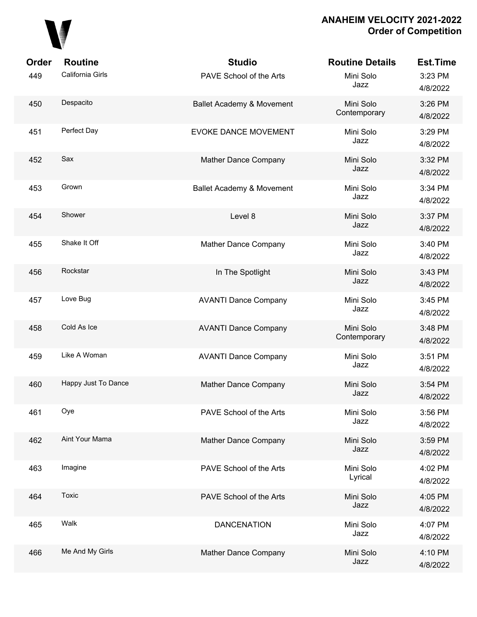

| <b>Order</b> | <b>Routine</b>      | <b>Studio</b>                        | <b>Routine Details</b>    | <b>Est.Time</b>     |
|--------------|---------------------|--------------------------------------|---------------------------|---------------------|
| 449          | California Girls    | PAVE School of the Arts              | Mini Solo<br>Jazz         | 3:23 PM<br>4/8/2022 |
| 450          | Despacito           | <b>Ballet Academy &amp; Movement</b> | Mini Solo<br>Contemporary | 3:26 PM<br>4/8/2022 |
| 451          | Perfect Day         | <b>EVOKE DANCE MOVEMENT</b>          | Mini Solo<br>Jazz         | 3:29 PM<br>4/8/2022 |
| 452          | Sax                 | Mather Dance Company                 | Mini Solo<br>Jazz         | 3:32 PM<br>4/8/2022 |
| 453          | Grown               | Ballet Academy & Movement            | Mini Solo<br>Jazz         | 3:34 PM<br>4/8/2022 |
| 454          | Shower              | Level 8                              | Mini Solo<br>Jazz         | 3:37 PM<br>4/8/2022 |
| 455          | Shake It Off        | Mather Dance Company                 | Mini Solo<br>Jazz         | 3:40 PM<br>4/8/2022 |
| 456          | Rockstar            | In The Spotlight                     | Mini Solo<br>Jazz         | 3:43 PM<br>4/8/2022 |
| 457          | Love Bug            | <b>AVANTI Dance Company</b>          | Mini Solo<br>Jazz         | 3:45 PM<br>4/8/2022 |
| 458          | Cold As Ice         | <b>AVANTI Dance Company</b>          | Mini Solo<br>Contemporary | 3:48 PM<br>4/8/2022 |
| 459          | Like A Woman        | <b>AVANTI Dance Company</b>          | Mini Solo<br>Jazz         | 3:51 PM<br>4/8/2022 |
| 460          | Happy Just To Dance | Mather Dance Company                 | Mini Solo<br>Jazz         | 3:54 PM<br>4/8/2022 |
| 461          | Oye                 | PAVE School of the Arts              | Mini Solo<br>Jazz         | 3:56 PM<br>4/8/2022 |
| 462          | Aint Your Mama      | Mather Dance Company                 | Mini Solo<br>Jazz         | 3:59 PM<br>4/8/2022 |
| 463          | Imagine             | PAVE School of the Arts              | Mini Solo<br>Lyrical      | 4:02 PM<br>4/8/2022 |
| 464          | Toxic               | PAVE School of the Arts              | Mini Solo<br>Jazz         | 4:05 PM<br>4/8/2022 |
| 465          | Walk                | <b>DANCENATION</b>                   | Mini Solo<br>Jazz         | 4:07 PM<br>4/8/2022 |
| 466          | Me And My Girls     | Mather Dance Company                 | Mini Solo<br>Jazz         | 4:10 PM<br>4/8/2022 |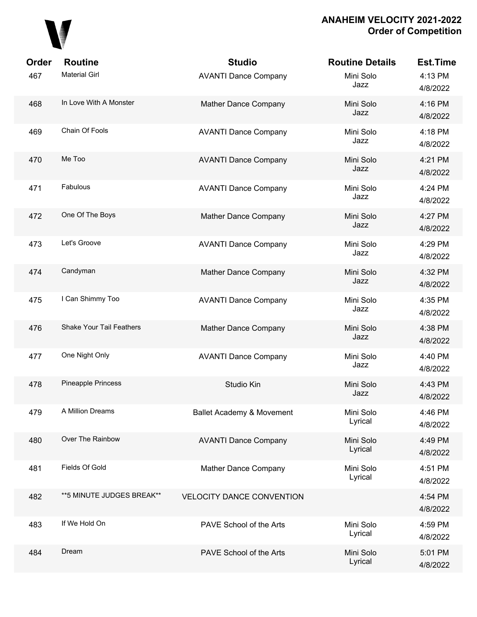

| Order | <b>Routine</b>                  | <b>Studio</b>                    | <b>Routine Details</b> | <b>Est.Time</b>     |
|-------|---------------------------------|----------------------------------|------------------------|---------------------|
| 467   | <b>Material Girl</b>            | <b>AVANTI Dance Company</b>      | Mini Solo<br>Jazz      | 4:13 PM<br>4/8/2022 |
| 468   | In Love With A Monster          | Mather Dance Company             | Mini Solo<br>Jazz      | 4:16 PM<br>4/8/2022 |
| 469   | Chain Of Fools                  | <b>AVANTI Dance Company</b>      | Mini Solo<br>Jazz      | 4:18 PM<br>4/8/2022 |
| 470   | Me Too                          | <b>AVANTI Dance Company</b>      | Mini Solo<br>Jazz      | 4:21 PM<br>4/8/2022 |
| 471   | Fabulous                        | <b>AVANTI Dance Company</b>      | Mini Solo<br>Jazz      | 4:24 PM<br>4/8/2022 |
| 472   | One Of The Boys                 | Mather Dance Company             | Mini Solo<br>Jazz      | 4:27 PM<br>4/8/2022 |
| 473   | Let's Groove                    | <b>AVANTI Dance Company</b>      | Mini Solo<br>Jazz      | 4:29 PM<br>4/8/2022 |
| 474   | Candyman                        | Mather Dance Company             | Mini Solo<br>Jazz      | 4:32 PM<br>4/8/2022 |
| 475   | I Can Shimmy Too                | <b>AVANTI Dance Company</b>      | Mini Solo<br>Jazz      | 4:35 PM<br>4/8/2022 |
| 476   | <b>Shake Your Tail Feathers</b> | Mather Dance Company             | Mini Solo<br>Jazz      | 4:38 PM<br>4/8/2022 |
| 477   | One Night Only                  | <b>AVANTI Dance Company</b>      | Mini Solo<br>Jazz      | 4:40 PM<br>4/8/2022 |
| 478   | Pineapple Princess              | Studio Kin                       | Mini Solo<br>Jazz      | 4:43 PM<br>4/8/2022 |
| 479   | A Million Dreams                | Ballet Academy & Movement        | Mini Solo<br>Lyrical   | 4:46 PM<br>4/8/2022 |
| 480   | Over The Rainbow                | <b>AVANTI Dance Company</b>      | Mini Solo<br>Lyrical   | 4:49 PM<br>4/8/2022 |
| 481   | <b>Fields Of Gold</b>           | Mather Dance Company             | Mini Solo<br>Lyrical   | 4:51 PM<br>4/8/2022 |
| 482   | ** 5 MINUTE JUDGES BREAK**      | <b>VELOCITY DANCE CONVENTION</b> |                        | 4:54 PM<br>4/8/2022 |
| 483   | If We Hold On                   | PAVE School of the Arts          | Mini Solo<br>Lyrical   | 4:59 PM<br>4/8/2022 |
| 484   | Dream                           | PAVE School of the Arts          | Mini Solo<br>Lyrical   | 5:01 PM<br>4/8/2022 |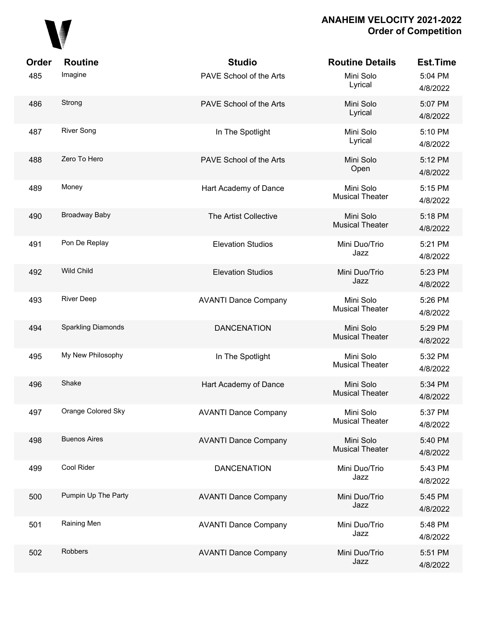

| Order<br>485 | <b>Routine</b><br>Imagine | <b>Studio</b><br>PAVE School of the Arts | <b>Routine Details</b><br>Mini Solo<br>Lyrical | <b>Est.Time</b><br>5:04 PM<br>4/8/2022 |
|--------------|---------------------------|------------------------------------------|------------------------------------------------|----------------------------------------|
| 486          | Strong                    | PAVE School of the Arts                  | Mini Solo<br>Lyrical                           | 5:07 PM<br>4/8/2022                    |
| 487          | <b>River Song</b>         | In The Spotlight                         | Mini Solo<br>Lyrical                           | 5:10 PM<br>4/8/2022                    |
| 488          | Zero To Hero              | PAVE School of the Arts                  | Mini Solo<br>Open                              | 5:12 PM<br>4/8/2022                    |
| 489          | Money                     | Hart Academy of Dance                    | Mini Solo<br><b>Musical Theater</b>            | 5:15 PM<br>4/8/2022                    |
| 490          | Broadway Baby             | The Artist Collective                    | Mini Solo<br><b>Musical Theater</b>            | 5:18 PM<br>4/8/2022                    |
| 491          | Pon De Replay             | <b>Elevation Studios</b>                 | Mini Duo/Trio<br>Jazz                          | 5:21 PM<br>4/8/2022                    |
| 492          | Wild Child                | <b>Elevation Studios</b>                 | Mini Duo/Trio<br>Jazz                          | 5:23 PM<br>4/8/2022                    |
| 493          | <b>River Deep</b>         | <b>AVANTI Dance Company</b>              | Mini Solo<br><b>Musical Theater</b>            | 5:26 PM<br>4/8/2022                    |
| 494          | Sparkling Diamonds        | <b>DANCENATION</b>                       | Mini Solo<br><b>Musical Theater</b>            | 5:29 PM<br>4/8/2022                    |
| 495          | My New Philosophy         | In The Spotlight                         | Mini Solo<br><b>Musical Theater</b>            | 5:32 PM<br>4/8/2022                    |
| 496          | Shake                     | Hart Academy of Dance                    | Mini Solo<br><b>Musical Theater</b>            | 5:34 PM<br>4/8/2022                    |
| 497          | Orange Colored Sky        | <b>AVANTI Dance Company</b>              | Mini Solo<br><b>Musical Theater</b>            | 5:37 PM<br>4/8/2022                    |
| 498          | <b>Buenos Aires</b>       | <b>AVANTI Dance Company</b>              | Mini Solo<br><b>Musical Theater</b>            | 5:40 PM<br>4/8/2022                    |
| 499          | Cool Rider                | <b>DANCENATION</b>                       | Mini Duo/Trio<br>Jazz                          | 5:43 PM<br>4/8/2022                    |
| 500          | Pumpin Up The Party       | <b>AVANTI Dance Company</b>              | Mini Duo/Trio<br>Jazz                          | 5:45 PM<br>4/8/2022                    |
| 501          | Raining Men               | <b>AVANTI Dance Company</b>              | Mini Duo/Trio<br>Jazz                          | 5:48 PM<br>4/8/2022                    |
| 502          | Robbers                   | <b>AVANTI Dance Company</b>              | Mini Duo/Trio<br>Jazz                          | 5:51 PM<br>4/8/2022                    |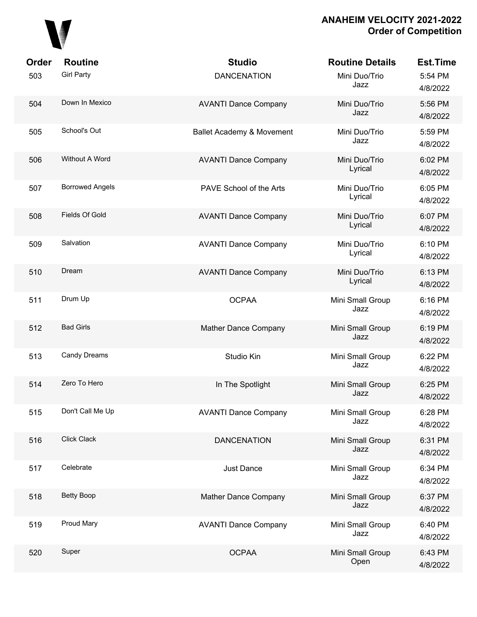

| Order | <b>Routine</b>         | <b>Studio</b>               | <b>Routine Details</b>   | <b>Est.Time</b>     |
|-------|------------------------|-----------------------------|--------------------------|---------------------|
| 503   | <b>Girl Party</b>      | <b>DANCENATION</b>          | Mini Duo/Trio<br>Jazz    | 5:54 PM<br>4/8/2022 |
| 504   | Down In Mexico         | <b>AVANTI Dance Company</b> | Mini Duo/Trio<br>Jazz    | 5:56 PM<br>4/8/2022 |
| 505   | School's Out           | Ballet Academy & Movement   | Mini Duo/Trio<br>Jazz    | 5:59 PM<br>4/8/2022 |
| 506   | Without A Word         | <b>AVANTI Dance Company</b> | Mini Duo/Trio<br>Lyrical | 6:02 PM<br>4/8/2022 |
| 507   | <b>Borrowed Angels</b> | PAVE School of the Arts     | Mini Duo/Trio<br>Lyrical | 6:05 PM<br>4/8/2022 |
| 508   | <b>Fields Of Gold</b>  | <b>AVANTI Dance Company</b> | Mini Duo/Trio<br>Lyrical | 6:07 PM<br>4/8/2022 |
| 509   | Salvation              | <b>AVANTI Dance Company</b> | Mini Duo/Trio<br>Lyrical | 6:10 PM<br>4/8/2022 |
| 510   | Dream                  | <b>AVANTI Dance Company</b> | Mini Duo/Trio<br>Lyrical | 6:13 PM<br>4/8/2022 |
| 511   | Drum Up                | <b>OCPAA</b>                | Mini Small Group<br>Jazz | 6:16 PM<br>4/8/2022 |
| 512   | <b>Bad Girls</b>       | Mather Dance Company        | Mini Small Group<br>Jazz | 6:19 PM<br>4/8/2022 |
| 513   | Candy Dreams           | Studio Kin                  | Mini Small Group<br>Jazz | 6:22 PM<br>4/8/2022 |
| 514   | Zero To Hero           | In The Spotlight            | Mini Small Group<br>Jazz | 6:25 PM<br>4/8/2022 |
| 515   | Don't Call Me Up       | <b>AVANTI Dance Company</b> | Mini Small Group<br>Jazz | 6:28 PM<br>4/8/2022 |
| 516   | Click Clack            | <b>DANCENATION</b>          | Mini Small Group<br>Jazz | 6:31 PM<br>4/8/2022 |
| 517   | Celebrate              | Just Dance                  | Mini Small Group<br>Jazz | 6:34 PM<br>4/8/2022 |
| 518   | <b>Betty Boop</b>      | Mather Dance Company        | Mini Small Group<br>Jazz | 6:37 PM<br>4/8/2022 |
| 519   | Proud Mary             | <b>AVANTI Dance Company</b> | Mini Small Group<br>Jazz | 6:40 PM<br>4/8/2022 |
| 520   | Super                  | <b>OCPAA</b>                | Mini Small Group<br>Open | 6:43 PM<br>4/8/2022 |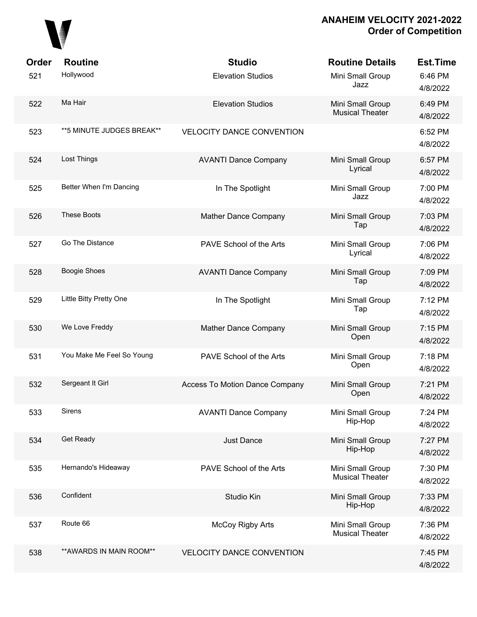

| Order | <b>Routine</b>            | <b>Studio</b>                    | <b>Routine Details</b>                     | <b>Est.Time</b>     |
|-------|---------------------------|----------------------------------|--------------------------------------------|---------------------|
| 521   | Hollywood                 | <b>Elevation Studios</b>         | Mini Small Group<br>Jazz                   | 6:46 PM<br>4/8/2022 |
| 522   | Ma Hair                   | <b>Elevation Studios</b>         | Mini Small Group<br><b>Musical Theater</b> | 6:49 PM<br>4/8/2022 |
| 523   | **5 MINUTE JUDGES BREAK** | <b>VELOCITY DANCE CONVENTION</b> |                                            | 6:52 PM<br>4/8/2022 |
| 524   | Lost Things               | <b>AVANTI Dance Company</b>      | Mini Small Group<br>Lyrical                | 6:57 PM<br>4/8/2022 |
| 525   | Better When I'm Dancing   | In The Spotlight                 | Mini Small Group<br>Jazz                   | 7:00 PM<br>4/8/2022 |
| 526   | <b>These Boots</b>        | <b>Mather Dance Company</b>      | Mini Small Group<br>Tap                    | 7:03 PM<br>4/8/2022 |
| 527   | Go The Distance           | PAVE School of the Arts          | Mini Small Group<br>Lyrical                | 7:06 PM<br>4/8/2022 |
| 528   | <b>Boogie Shoes</b>       | <b>AVANTI Dance Company</b>      | Mini Small Group<br>Tap                    | 7:09 PM<br>4/8/2022 |
| 529   | Little Bitty Pretty One   | In The Spotlight                 | Mini Small Group<br>Tap                    | 7:12 PM<br>4/8/2022 |
| 530   | We Love Freddy            | Mather Dance Company             | Mini Small Group<br>Open                   | 7:15 PM<br>4/8/2022 |
| 531   | You Make Me Feel So Young | PAVE School of the Arts          | Mini Small Group<br>Open                   | 7:18 PM<br>4/8/2022 |
| 532   | Sergeant It Girl          | Access To Motion Dance Company   | Mini Small Group<br>Open                   | 7:21 PM<br>4/8/2022 |
| 533   | <b>Sirens</b>             | <b>AVANTI Dance Company</b>      | Mini Small Group<br>Hip-Hop                | 7:24 PM<br>4/8/2022 |
| 534   | Get Ready                 | Just Dance                       | Mini Small Group<br>Hip-Hop                | 7:27 PM<br>4/8/2022 |
| 535   | Hernando's Hideaway       | PAVE School of the Arts          | Mini Small Group<br><b>Musical Theater</b> | 7:30 PM<br>4/8/2022 |
| 536   | Confident                 | Studio Kin                       | Mini Small Group<br>Hip-Hop                | 7:33 PM<br>4/8/2022 |
| 537   | Route 66                  | <b>McCoy Rigby Arts</b>          | Mini Small Group<br><b>Musical Theater</b> | 7:36 PM<br>4/8/2022 |
| 538   | ** AWARDS IN MAIN ROOM**  | <b>VELOCITY DANCE CONVENTION</b> |                                            | 7:45 PM<br>4/8/2022 |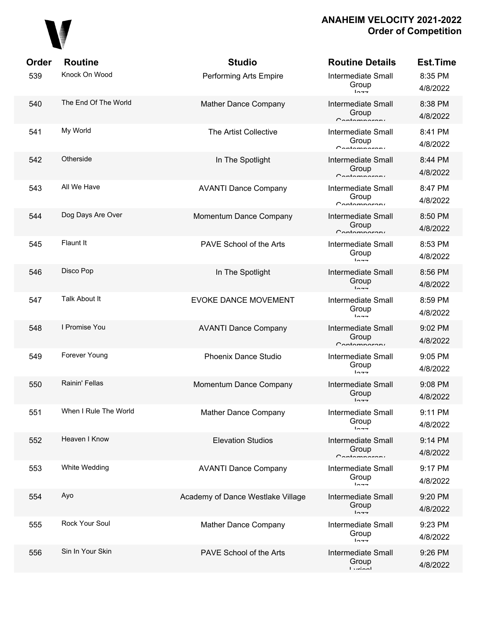

| Order | <b>Routine</b>        | <b>Studio</b>                     | <b>Routine Details</b>                                   | <b>Est.Time</b>     |
|-------|-----------------------|-----------------------------------|----------------------------------------------------------|---------------------|
| 539   | Knock On Wood         | Performing Arts Empire            | <b>Intermediate Small</b><br>Group<br>$ln -$             | 8:35 PM<br>4/8/2022 |
| 540   | The End Of The World  | <b>Mather Dance Company</b>       | <b>Intermediate Small</b><br>Group<br>Contamparary       | 8:38 PM<br>4/8/2022 |
| 541   | My World              | <b>The Artist Collective</b>      | <b>Intermediate Small</b><br>Group<br>$C$ ontomnoroni    | 8:41 PM<br>4/8/2022 |
| 542   | Otherside             | In The Spotlight                  | <b>Intermediate Small</b><br>Group<br>Contamparary       | 8:44 PM<br>4/8/2022 |
| 543   | All We Have           | <b>AVANTI Dance Company</b>       | <b>Intermediate Small</b><br>Group<br>Contamparary       | 8:47 PM<br>4/8/2022 |
| 544   | Dog Days Are Over     | Momentum Dance Company            | <b>Intermediate Small</b><br>Group<br>Contamparary       | 8:50 PM<br>4/8/2022 |
| 545   | Flaunt It             | PAVE School of the Arts           | <b>Intermediate Small</b><br>Group<br>$ln -$             | 8:53 PM<br>4/8/2022 |
| 546   | Disco Pop             | In The Spotlight                  | <b>Intermediate Small</b><br>Group<br>$1 - -$            | 8:56 PM<br>4/8/2022 |
| 547   | Talk About It         | <b>EVOKE DANCE MOVEMENT</b>       | <b>Intermediate Small</b><br>Group<br>$ln -$             | 8:59 PM<br>4/8/2022 |
| 548   | I Promise You         | <b>AVANTI Dance Company</b>       | <b>Intermediate Small</b><br>Group<br>Contamparary       | 9:02 PM<br>4/8/2022 |
| 549   | Forever Young         | <b>Phoenix Dance Studio</b>       | <b>Intermediate Small</b><br>Group<br>$ln - -$           | 9:05 PM<br>4/8/2022 |
| 550   | Rainin' Fellas        | Momentum Dance Company            | <b>Intermediate Small</b><br>Group<br>トヘーー               | 9:08 PM<br>4/8/2022 |
| 551   | When I Rule The World | Mather Dance Company              | Intermediate Small<br>Group<br>$ln -$                    | 9:11 PM<br>4/8/2022 |
| 552   | Heaven I Know         | <b>Elevation Studios</b>          | <b>Intermediate Small</b><br>Group<br>$C$ ontomnoroni    | 9:14 PM<br>4/8/2022 |
| 553   | White Wedding         | <b>AVANTI Dance Company</b>       | <b>Intermediate Small</b><br>Group<br>$1 - -$            | 9:17 PM<br>4/8/2022 |
| 554   | Ayo                   | Academy of Dance Westlake Village | <b>Intermediate Small</b><br>Group<br>$ln -$             | 9:20 PM<br>4/8/2022 |
| 555   | Rock Your Soul        | Mather Dance Company              | <b>Intermediate Small</b><br>Group<br>$10 - 7$           | 9:23 PM<br>4/8/2022 |
| 556   | Sin In Your Skin      | PAVE School of the Arts           | <b>Intermediate Small</b><br>Group<br>$l$ <i>simposi</i> | 9:26 PM<br>4/8/2022 |
|       |                       |                                   |                                                          |                     |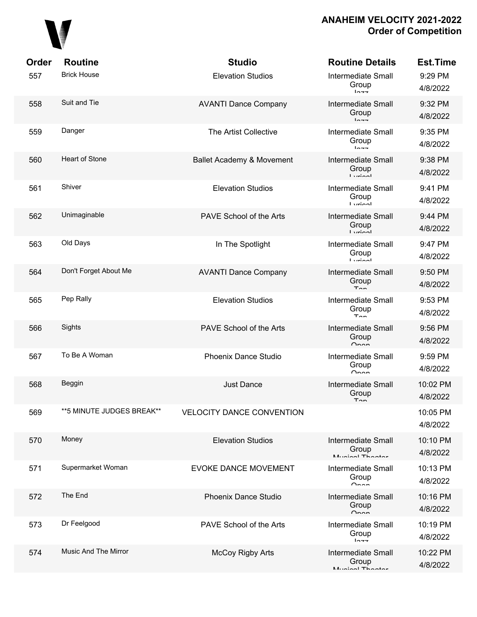

| Order | <b>Routine</b>            | <b>Studio</b>                        | <b>Routine Details</b>                                  | <b>Est.Time</b>      |
|-------|---------------------------|--------------------------------------|---------------------------------------------------------|----------------------|
| 557   | <b>Brick House</b>        | <b>Elevation Studios</b>             | <b>Intermediate Small</b><br>Group<br>$ln -$            | 9:29 PM<br>4/8/2022  |
| 558   | Suit and Tie              | <b>AVANTI Dance Company</b>          | <b>Intermediate Small</b><br>Group<br>$ln -$            | 9:32 PM<br>4/8/2022  |
| 559   | Danger                    | <b>The Artist Collective</b>         | <b>Intermediate Small</b><br>Group<br>$ln -1$           | 9:35 PM<br>4/8/2022  |
| 560   | <b>Heart of Stone</b>     | <b>Ballet Academy &amp; Movement</b> | <b>Intermediate Small</b><br>Group<br>$I$ winnl         | 9:38 PM<br>4/8/2022  |
| 561   | Shiver                    | <b>Elevation Studios</b>             | <b>Intermediate Small</b><br>Group<br>$I$ <i>simi</i> l | 9:41 PM<br>4/8/2022  |
| 562   | Unimaginable              | PAVE School of the Arts              | <b>Intermediate Small</b><br>Group<br>$I \nmid \nmid$   | 9:44 PM<br>4/8/2022  |
| 563   | Old Days                  | In The Spotlight                     | <b>Intermediate Small</b><br>Group<br>$I \nmid \nmin$   | 9:47 PM<br>4/8/2022  |
| 564   | Don't Forget About Me     | <b>AVANTI Dance Company</b>          | <b>Intermediate Small</b><br>Group<br>$T_{\Omega}$      | 9:50 PM<br>4/8/2022  |
| 565   | Pep Rally                 | <b>Elevation Studios</b>             | <b>Intermediate Small</b><br>Group<br>$T_{\rm{on}}$     | 9:53 PM<br>4/8/2022  |
| 566   | Sights                    | PAVE School of the Arts              | <b>Intermediate Small</b><br>Group<br>$O_{n \wedge n}$  | 9:56 PM<br>4/8/2022  |
| 567   | To Be A Woman             | Phoenix Dance Studio                 | <b>Intermediate Small</b><br>Group<br>$\sim$            | 9:59 PM<br>4/8/2022  |
| 568   | Beggin                    | <b>Just Dance</b>                    | <b>Intermediate Small</b><br>Group<br>$T \cap n$        | 10:02 PM<br>4/8/2022 |
| 569   | **5 MINUTE JUDGES BREAK** | <b>VELOCITY DANCE CONVENTION</b>     |                                                         | 10:05 PM<br>4/8/2022 |
| 570   | Money                     | <b>Elevation Studios</b>             | Intermediate Small<br>Group<br>Munical Thootor          | 10:10 PM<br>4/8/2022 |
| 571   | Supermarket Woman         | <b>EVOKE DANCE MOVEMENT</b>          | <b>Intermediate Small</b><br>Group<br>$\sim$            | 10:13 PM<br>4/8/2022 |
| 572   | The End                   | Phoenix Dance Studio                 | Intermediate Small<br>Group<br>$\sim$                   | 10:16 PM<br>4/8/2022 |
| 573   | Dr Feelgood               | PAVE School of the Arts              | <b>Intermediate Small</b><br>Group<br>10.77             | 10:19 PM<br>4/8/2022 |
| 574   | Music And The Mirror      | <b>McCoy Rigby Arts</b>              | Intermediate Small<br>Group<br>Munical Thootor          | 10:22 PM<br>4/8/2022 |
|       |                           |                                      |                                                         |                      |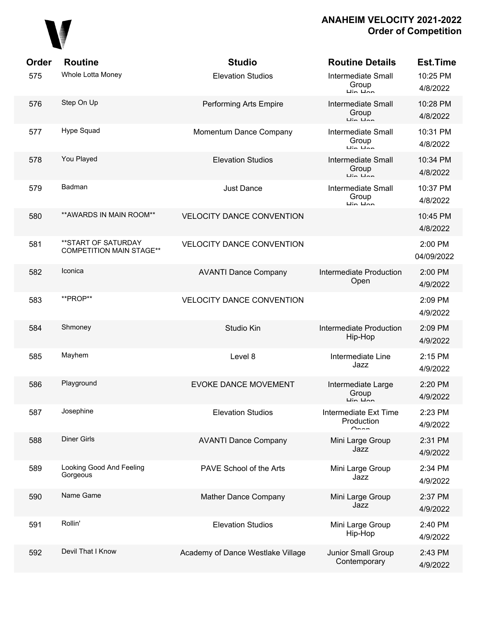

| Order | <b>Routine</b>                                         | <b>Studio</b>                     | <b>Routine Details</b>                                                    | <b>Est.Time</b>       |
|-------|--------------------------------------------------------|-----------------------------------|---------------------------------------------------------------------------|-----------------------|
| 575   | Whole Lotta Money                                      | <b>Elevation Studios</b>          | <b>Intermediate Small</b><br>Group<br>$\overline{u}$ in $\overline{u}$ an | 10:25 PM<br>4/8/2022  |
| 576   | Step On Up                                             | Performing Arts Empire            | <b>Intermediate Small</b><br>Group<br>$\mathbf{u}$ in $\mathbf{u}$ nn     | 10:28 PM<br>4/8/2022  |
| 577   | Hype Squad                                             | Momentum Dance Company            | <b>Intermediate Small</b><br>Group<br>مماستان                             | 10:31 PM<br>4/8/2022  |
| 578   | You Played                                             | <b>Elevation Studios</b>          | <b>Intermediate Small</b><br>Group<br>$\overline{a}$                      | 10:34 PM<br>4/8/2022  |
| 579   | Badman                                                 | <b>Just Dance</b>                 | <b>Intermediate Small</b><br>Group<br>$\overline{u}$ in $\overline{u}$ an | 10:37 PM<br>4/8/2022  |
| 580   | ** AWARDS IN MAIN ROOM**                               | <b>VELOCITY DANCE CONVENTION</b>  |                                                                           | 10:45 PM<br>4/8/2022  |
| 581   | **START OF SATURDAY<br><b>COMPETITION MAIN STAGE**</b> | <b>VELOCITY DANCE CONVENTION</b>  |                                                                           | 2:00 PM<br>04/09/2022 |
| 582   | Iconica                                                | <b>AVANTI Dance Company</b>       | Intermediate Production<br>Open                                           | 2:00 PM<br>4/9/2022   |
| 583   | **PROP**                                               | <b>VELOCITY DANCE CONVENTION</b>  |                                                                           | 2:09 PM<br>4/9/2022   |
| 584   | Shmoney                                                | Studio Kin                        | Intermediate Production<br>Hip-Hop                                        | 2:09 PM<br>4/9/2022   |
| 585   | Mayhem                                                 | Level 8                           | Intermediate Line<br>Jazz                                                 | 2:15 PM<br>4/9/2022   |
| 586   | Playground                                             | <b>EVOKE DANCE MOVEMENT</b>       | Intermediate Large<br>Group<br>Lin Linn                                   | 2:20 PM<br>4/9/2022   |
| 587   | Josephine                                              | <b>Elevation Studios</b>          | Intermediate Ext Time<br>Production<br>$\cap$ nnn                         | 2:23 PM<br>4/9/2022   |
| 588   | <b>Diner Girls</b>                                     | <b>AVANTI Dance Company</b>       | Mini Large Group<br>Jazz                                                  | 2:31 PM<br>4/9/2022   |
| 589   | Looking Good And Feeling<br>Gorgeous                   | PAVE School of the Arts           | Mini Large Group<br>Jazz                                                  | 2:34 PM<br>4/9/2022   |
| 590   | Name Game                                              | Mather Dance Company              | Mini Large Group<br>Jazz                                                  | 2:37 PM<br>4/9/2022   |
| 591   | Rollin'                                                | <b>Elevation Studios</b>          | Mini Large Group<br>Hip-Hop                                               | 2:40 PM<br>4/9/2022   |
| 592   | Devil That I Know                                      | Academy of Dance Westlake Village | Junior Small Group<br>Contemporary                                        | 2:43 PM<br>4/9/2022   |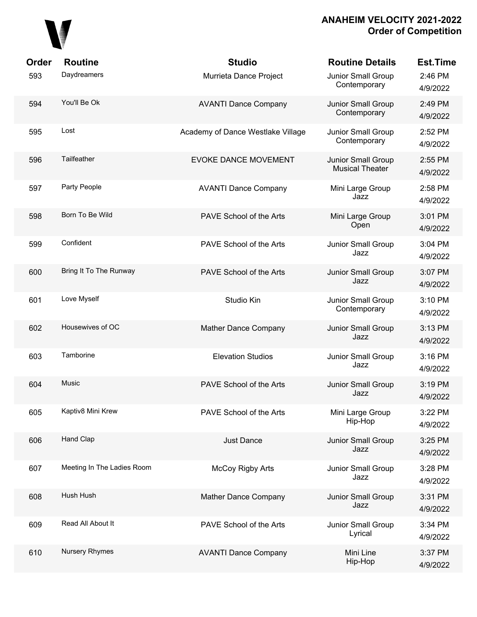

| Order | <b>Routine</b>             | <b>Studio</b>                     | <b>Routine Details</b>                       | <b>Est.Time</b>     |
|-------|----------------------------|-----------------------------------|----------------------------------------------|---------------------|
| 593   | Daydreamers                | Murrieta Dance Project            | Junior Small Group<br>Contemporary           | 2:46 PM<br>4/9/2022 |
| 594   | You'll Be Ok               | <b>AVANTI Dance Company</b>       | Junior Small Group<br>Contemporary           | 2:49 PM<br>4/9/2022 |
| 595   | Lost                       | Academy of Dance Westlake Village | Junior Small Group<br>Contemporary           | 2:52 PM<br>4/9/2022 |
| 596   | Tailfeather                | <b>EVOKE DANCE MOVEMENT</b>       | Junior Small Group<br><b>Musical Theater</b> | 2:55 PM<br>4/9/2022 |
| 597   | Party People               | <b>AVANTI Dance Company</b>       | Mini Large Group<br>Jazz                     | 2:58 PM<br>4/9/2022 |
| 598   | Born To Be Wild            | PAVE School of the Arts           | Mini Large Group<br>Open                     | 3:01 PM<br>4/9/2022 |
| 599   | Confident                  | PAVE School of the Arts           | Junior Small Group<br>Jazz                   | 3:04 PM<br>4/9/2022 |
| 600   | Bring It To The Runway     | PAVE School of the Arts           | Junior Small Group<br>Jazz                   | 3:07 PM<br>4/9/2022 |
| 601   | Love Myself                | Studio Kin                        | Junior Small Group<br>Contemporary           | 3:10 PM<br>4/9/2022 |
| 602   | Housewives of OC           | Mather Dance Company              | Junior Small Group<br>Jazz                   | 3:13 PM<br>4/9/2022 |
| 603   | Tamborine                  | <b>Elevation Studios</b>          | Junior Small Group<br>Jazz                   | 3:16 PM<br>4/9/2022 |
| 604   | <b>Music</b>               | PAVE School of the Arts           | Junior Small Group<br>Jazz                   | 3:19 PM<br>4/9/2022 |
| 605   | Kaptiv8 Mini Krew          | PAVE School of the Arts           | Mini Large Group<br>Hip-Hop                  | 3:22 PM<br>4/9/2022 |
| 606   | Hand Clap                  | <b>Just Dance</b>                 | Junior Small Group<br>Jazz                   | 3:25 PM<br>4/9/2022 |
| 607   | Meeting In The Ladies Room | <b>McCoy Rigby Arts</b>           | Junior Small Group<br>Jazz                   | 3:28 PM<br>4/9/2022 |
| 608   | Hush Hush                  | Mather Dance Company              | Junior Small Group<br>Jazz                   | 3:31 PM<br>4/9/2022 |
| 609   | Read All About It          | PAVE School of the Arts           | Junior Small Group<br>Lyrical                | 3:34 PM<br>4/9/2022 |
| 610   | <b>Nursery Rhymes</b>      | <b>AVANTI Dance Company</b>       | Mini Line<br>Hip-Hop                         | 3:37 PM<br>4/9/2022 |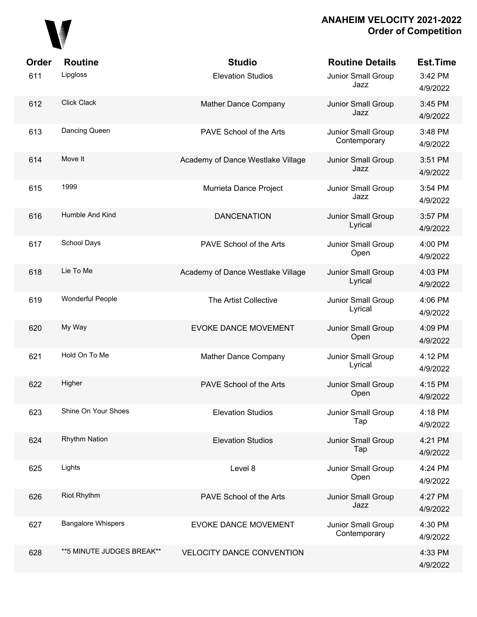

| Order<br>611 | <b>Routine</b><br>Lipgloss | <b>Studio</b><br><b>Elevation Studios</b> | <b>Routine Details</b><br>Junior Small Group<br>Jazz | <b>Est.Time</b><br>3:42 PM<br>4/9/2022 |
|--------------|----------------------------|-------------------------------------------|------------------------------------------------------|----------------------------------------|
| 612          | <b>Click Clack</b>         | Mather Dance Company                      | Junior Small Group<br>Jazz                           | 3:45 PM<br>4/9/2022                    |
| 613          | Dancing Queen              | PAVE School of the Arts                   | Junior Small Group<br>Contemporary                   | 3:48 PM<br>4/9/2022                    |
| 614          | Move It                    | Academy of Dance Westlake Village         | Junior Small Group<br>Jazz                           | 3:51 PM<br>4/9/2022                    |
| 615          | 1999                       | Murrieta Dance Project                    | Junior Small Group<br>Jazz                           | 3:54 PM<br>4/9/2022                    |
| 616          | Humble And Kind            | <b>DANCENATION</b>                        | Junior Small Group<br>Lyrical                        | 3:57 PM<br>4/9/2022                    |
| 617          | School Days                | PAVE School of the Arts                   | <b>Junior Small Group</b><br>Open                    | 4:00 PM<br>4/9/2022                    |
| 618          | Lie To Me                  | Academy of Dance Westlake Village         | Junior Small Group<br>Lyrical                        | 4:03 PM<br>4/9/2022                    |
| 619          | Wonderful People           | The Artist Collective                     | Junior Small Group<br>Lyrical                        | 4:06 PM<br>4/9/2022                    |
| 620          | My Way                     | <b>EVOKE DANCE MOVEMENT</b>               | Junior Small Group<br>Open                           | 4:09 PM<br>4/9/2022                    |
| 621          | Hold On To Me              | Mather Dance Company                      | Junior Small Group<br>Lyrical                        | 4:12 PM<br>4/9/2022                    |
| 622          | Higher                     | PAVE School of the Arts                   | Junior Small Group<br>Open                           | 4:15 PM<br>4/9/2022                    |
| 623          | Shine On Your Shoes        | <b>Elevation Studios</b>                  | Junior Small Group<br>Tap                            | 4:18 PM<br>4/9/2022                    |
| 624          | <b>Rhythm Nation</b>       | <b>Elevation Studios</b>                  | Junior Small Group<br>Tap                            | 4:21 PM<br>4/9/2022                    |
| 625          | Lights                     | Level 8                                   | Junior Small Group<br>Open                           | 4:24 PM<br>4/9/2022                    |
| 626          | <b>Riot Rhythm</b>         | PAVE School of the Arts                   | Junior Small Group<br>Jazz                           | 4:27 PM<br>4/9/2022                    |
| 627          | <b>Bangalore Whispers</b>  | <b>EVOKE DANCE MOVEMENT</b>               | Junior Small Group<br>Contemporary                   | 4:30 PM<br>4/9/2022                    |
| 628          | **5 MINUTE JUDGES BREAK**  | <b>VELOCITY DANCE CONVENTION</b>          |                                                      | 4:33 PM<br>4/9/2022                    |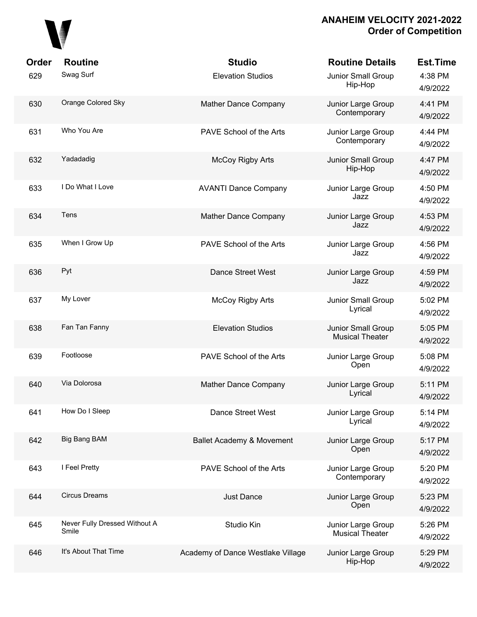

| Order<br>629 | <b>Routine</b><br>Swag Surf            | <b>Studio</b><br><b>Elevation Studios</b> | <b>Routine Details</b><br>Junior Small Group<br>Hip-Hop | <b>Est.Time</b><br>4:38 PM |
|--------------|----------------------------------------|-------------------------------------------|---------------------------------------------------------|----------------------------|
|              |                                        |                                           |                                                         | 4/9/2022                   |
| 630          | Orange Colored Sky                     | Mather Dance Company                      | Junior Large Group<br>Contemporary                      | 4:41 PM<br>4/9/2022        |
| 631          | Who You Are                            | PAVE School of the Arts                   | Junior Large Group<br>Contemporary                      | 4:44 PM<br>4/9/2022        |
| 632          | Yadadadig                              | <b>McCoy Rigby Arts</b>                   | Junior Small Group<br>Hip-Hop                           | 4:47 PM<br>4/9/2022        |
| 633          | I Do What I Love                       | <b>AVANTI Dance Company</b>               | Junior Large Group<br>Jazz                              | 4:50 PM<br>4/9/2022        |
| 634          | Tens                                   | Mather Dance Company                      | Junior Large Group<br>Jazz                              | 4:53 PM<br>4/9/2022        |
| 635          | When I Grow Up                         | PAVE School of the Arts                   | Junior Large Group<br>Jazz                              | 4:56 PM<br>4/9/2022        |
| 636          | Pyt                                    | Dance Street West                         | Junior Large Group<br>Jazz                              | 4:59 PM<br>4/9/2022        |
| 637          | My Lover                               | McCoy Rigby Arts                          | Junior Small Group<br>Lyrical                           | 5:02 PM<br>4/9/2022        |
| 638          | Fan Tan Fanny                          | <b>Elevation Studios</b>                  | Junior Small Group<br><b>Musical Theater</b>            | 5:05 PM<br>4/9/2022        |
| 639          | Footloose                              | PAVE School of the Arts                   | Junior Large Group<br>Open                              | 5:08 PM<br>4/9/2022        |
| 640          | Via Dolorosa                           | Mather Dance Company                      | Junior Large Group<br>Lyrical                           | 5:11 PM<br>4/9/2022        |
| 641          | How Do I Sleep                         | Dance Street West                         | Junior Large Group<br>Lyrical                           | 5:14 PM<br>4/9/2022        |
| 642          | <b>Big Bang BAM</b>                    | Ballet Academy & Movement                 | Junior Large Group<br>Open                              | 5:17 PM<br>4/9/2022        |
| 643          | I Feel Pretty                          | PAVE School of the Arts                   | Junior Large Group<br>Contemporary                      | 5:20 PM<br>4/9/2022        |
| 644          | <b>Circus Dreams</b>                   | <b>Just Dance</b>                         | Junior Large Group<br>Open                              | 5:23 PM<br>4/9/2022        |
| 645          | Never Fully Dressed Without A<br>Smile | Studio Kin                                | Junior Large Group<br><b>Musical Theater</b>            | 5:26 PM<br>4/9/2022        |
| 646          | It's About That Time                   | Academy of Dance Westlake Village         | Junior Large Group<br>Hip-Hop                           | 5:29 PM<br>4/9/2022        |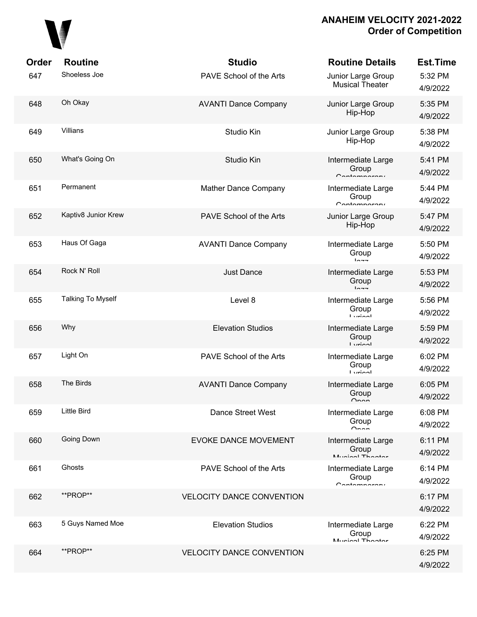

| Order | <b>Routine</b>           | <b>Studio</b>                    | <b>Routine Details</b>                            | <b>Est.Time</b>     |
|-------|--------------------------|----------------------------------|---------------------------------------------------|---------------------|
| 647   | Shoeless Joe             | PAVE School of the Arts          | Junior Large Group<br><b>Musical Theater</b>      | 5:32 PM<br>4/9/2022 |
| 648   | Oh Okay                  | <b>AVANTI Dance Company</b>      | Junior Large Group<br>Hip-Hop                     | 5:35 PM<br>4/9/2022 |
| 649   | Villians                 | Studio Kin                       | Junior Large Group<br>Hip-Hop                     | 5:38 PM<br>4/9/2022 |
| 650   | What's Going On          | Studio Kin                       | Intermediate Large<br>Group<br>Contamparary       | 5:41 PM<br>4/9/2022 |
| 651   | Permanent                | Mather Dance Company             | Intermediate Large<br>Group<br>$C$ ontomnoroni    | 5:44 PM<br>4/9/2022 |
| 652   | Kaptiv8 Junior Krew      | PAVE School of the Arts          | Junior Large Group<br>Hip-Hop                     | 5:47 PM<br>4/9/2022 |
| 653   | Haus Of Gaga             | <b>AVANTI Dance Company</b>      | Intermediate Large<br>Group<br>$ln -$             | 5:50 PM<br>4/9/2022 |
| 654   | Rock N' Roll             | <b>Just Dance</b>                | Intermediate Large<br>Group<br>$ln - -$           | 5:53 PM<br>4/9/2022 |
| 655   | <b>Talking To Myself</b> | Level 8                          | Intermediate Large<br>Group<br><b>Liminal</b>     | 5:56 PM<br>4/9/2022 |
| 656   | Why                      | <b>Elevation Studios</b>         | Intermediate Large<br>Group<br>$I$ <i>veion</i> l | 5:59 PM<br>4/9/2022 |
| 657   | Light On                 | PAVE School of the Arts          | Intermediate Large<br>Group<br><b>Liminal</b>     | 6:02 PM<br>4/9/2022 |
| 658   | The Birds                | <b>AVANTI Dance Company</b>      | Intermediate Large<br>Group<br>$\cap$ nnn         | 6:05 PM<br>4/9/2022 |
| 659   | <b>Little Bird</b>       | Dance Street West                | Intermediate Large<br>Group<br>$\cap$ non         | 6:08 PM<br>4/9/2022 |
| 660   | Going Down               | <b>EVOKE DANCE MOVEMENT</b>      | Intermediate Large<br>Group<br>Munical Thooter    | 6:11 PM<br>4/9/2022 |
| 661   | Ghosts                   | PAVE School of the Arts          | Intermediate Large<br>Group<br>$C$ ontomnoroni    | 6:14 PM<br>4/9/2022 |
| 662   | **PROP**                 | <b>VELOCITY DANCE CONVENTION</b> |                                                   | 6:17 PM<br>4/9/2022 |
| 663   | 5 Guys Named Moe         | <b>Elevation Studios</b>         | Intermediate Large<br>Group<br>Munical Thootar    | 6:22 PM<br>4/9/2022 |
| 664   | **PROP**                 | <b>VELOCITY DANCE CONVENTION</b> |                                                   | 6:25 PM<br>4/9/2022 |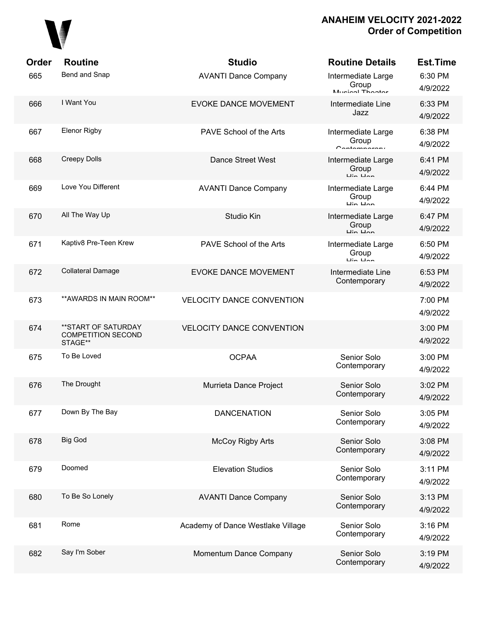

| Order | <b>Routine</b>                                              | <b>Studio</b>                     | <b>Routine Details</b>                                             | <b>Est.Time</b>     |
|-------|-------------------------------------------------------------|-----------------------------------|--------------------------------------------------------------------|---------------------|
| 665   | Bend and Snap                                               | <b>AVANTI Dance Company</b>       | Intermediate Large<br>Group<br>Munical Theotor                     | 6:30 PM<br>4/9/2022 |
| 666   | I Want You                                                  | <b>EVOKE DANCE MOVEMENT</b>       | Intermediate Line<br>Jazz                                          | 6:33 PM<br>4/9/2022 |
| 667   | <b>Elenor Rigby</b>                                         | PAVE School of the Arts           | Intermediate Large<br>Group<br>$C$ ontomnoroni                     | 6:38 PM<br>4/9/2022 |
| 668   | <b>Creepy Dolls</b>                                         | Dance Street West                 | Intermediate Large<br>Group<br>$\overline{u}$ in $\overline{u}$    | 6:41 PM<br>4/9/2022 |
| 669   | Love You Different                                          | <b>AVANTI Dance Company</b>       | Intermediate Large<br>Group<br>Lin Lin                             | 6:44 PM<br>4/9/2022 |
| 670   | All The Way Up                                              | Studio Kin                        | Intermediate Large<br>Group<br>$\overline{u}$ in $\overline{u}$ an | 6:47 PM<br>4/9/2022 |
| 671   | Kaptiv8 Pre-Teen Krew                                       | PAVE School of the Arts           | Intermediate Large<br>Group<br>$\overline{u}$ in $\overline{u}$ an | 6:50 PM<br>4/9/2022 |
| 672   | <b>Collateral Damage</b>                                    | <b>EVOKE DANCE MOVEMENT</b>       | Intermediate Line<br>Contemporary                                  | 6:53 PM<br>4/9/2022 |
| 673   | ** AWARDS IN MAIN ROOM**                                    | <b>VELOCITY DANCE CONVENTION</b>  |                                                                    | 7:00 PM<br>4/9/2022 |
| 674   | **START OF SATURDAY<br><b>COMPETITION SECOND</b><br>STAGE** | <b>VELOCITY DANCE CONVENTION</b>  |                                                                    | 3:00 PM<br>4/9/2022 |
| 675   | To Be Loved                                                 | <b>OCPAA</b>                      | Senior Solo<br>Contemporary                                        | 3:00 PM<br>4/9/2022 |
| 676   | The Drought                                                 | Murrieta Dance Project            | Senior Solo<br>Contemporary                                        | 3:02 PM<br>4/9/2022 |
| 677   | Down By The Bay                                             | <b>DANCENATION</b>                | Senior Solo<br>Contemporary                                        | 3:05 PM<br>4/9/2022 |
| 678   | <b>Big God</b>                                              | <b>McCoy Rigby Arts</b>           | Senior Solo<br>Contemporary                                        | 3:08 PM<br>4/9/2022 |
| 679   | Doomed                                                      | <b>Elevation Studios</b>          | Senior Solo<br>Contemporary                                        | 3:11 PM<br>4/9/2022 |
| 680   | To Be So Lonely                                             | <b>AVANTI Dance Company</b>       | Senior Solo<br>Contemporary                                        | 3:13 PM<br>4/9/2022 |
| 681   | Rome                                                        | Academy of Dance Westlake Village | Senior Solo<br>Contemporary                                        | 3:16 PM<br>4/9/2022 |
| 682   | Say I'm Sober                                               | Momentum Dance Company            | Senior Solo<br>Contemporary                                        | 3:19 PM<br>4/9/2022 |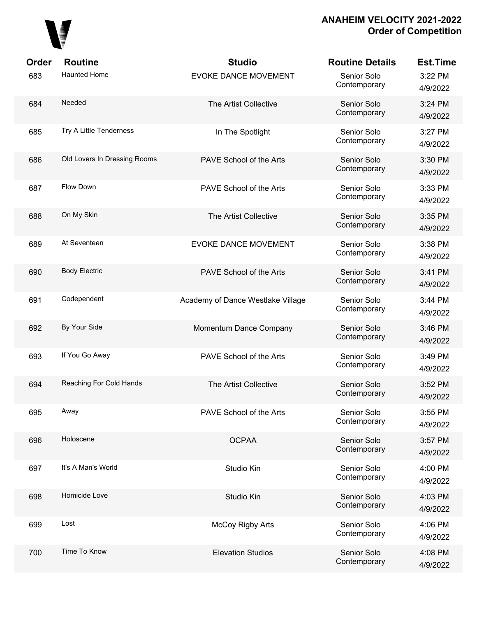

| Order | <b>Routine</b>               | <b>Studio</b>                     | <b>Routine Details</b>      | <b>Est.Time</b>     |
|-------|------------------------------|-----------------------------------|-----------------------------|---------------------|
| 683   | <b>Haunted Home</b>          | EVOKE DANCE MOVEMENT              | Senior Solo<br>Contemporary | 3:22 PM<br>4/9/2022 |
| 684   | Needed                       | The Artist Collective             | Senior Solo<br>Contemporary | 3:24 PM<br>4/9/2022 |
| 685   | Try A Little Tenderness      | In The Spotlight                  | Senior Solo<br>Contemporary | 3:27 PM<br>4/9/2022 |
| 686   | Old Lovers In Dressing Rooms | PAVE School of the Arts           | Senior Solo<br>Contemporary | 3:30 PM<br>4/9/2022 |
| 687   | Flow Down                    | PAVE School of the Arts           | Senior Solo<br>Contemporary | 3:33 PM<br>4/9/2022 |
| 688   | On My Skin                   | The Artist Collective             | Senior Solo<br>Contemporary | 3:35 PM<br>4/9/2022 |
| 689   | At Seventeen                 | EVOKE DANCE MOVEMENT              | Senior Solo<br>Contemporary | 3:38 PM<br>4/9/2022 |
| 690   | <b>Body Electric</b>         | PAVE School of the Arts           | Senior Solo<br>Contemporary | 3:41 PM<br>4/9/2022 |
| 691   | Codependent                  | Academy of Dance Westlake Village | Senior Solo<br>Contemporary | 3:44 PM<br>4/9/2022 |
| 692   | By Your Side                 | Momentum Dance Company            | Senior Solo<br>Contemporary | 3:46 PM<br>4/9/2022 |
| 693   | If You Go Away               | PAVE School of the Arts           | Senior Solo<br>Contemporary | 3:49 PM<br>4/9/2022 |
| 694   | Reaching For Cold Hands      | The Artist Collective             | Senior Solo<br>Contemporary | 3:52 PM<br>4/9/2022 |
| 695   | Away                         | PAVE School of the Arts           | Senior Solo<br>Contemporary | 3:55 PM<br>4/9/2022 |
| 696   | Holoscene                    | <b>OCPAA</b>                      | Senior Solo<br>Contemporary | 3:57 PM<br>4/9/2022 |
| 697   | It's A Man's World           | Studio Kin                        | Senior Solo<br>Contemporary | 4:00 PM<br>4/9/2022 |
| 698   | Homicide Love                | Studio Kin                        | Senior Solo<br>Contemporary | 4:03 PM<br>4/9/2022 |
| 699   | Lost                         | <b>McCoy Rigby Arts</b>           | Senior Solo<br>Contemporary | 4:06 PM<br>4/9/2022 |
| 700   | Time To Know                 | <b>Elevation Studios</b>          | Senior Solo<br>Contemporary | 4:08 PM<br>4/9/2022 |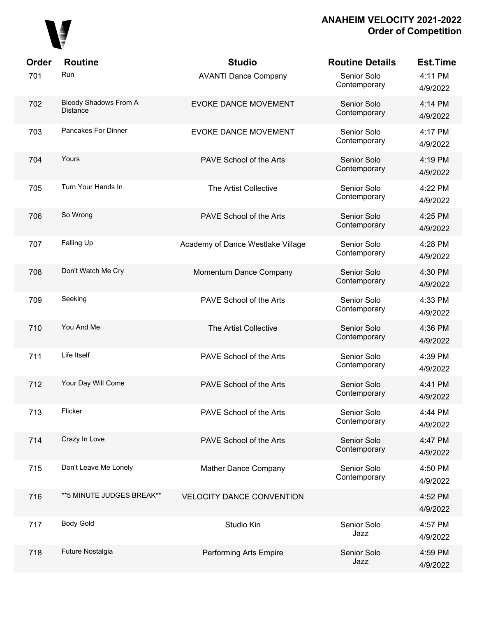

| Order | <b>Routine</b>                                  | <b>Studio</b>                     | <b>Routine Details</b>      | <b>Est.Time</b>     |
|-------|-------------------------------------------------|-----------------------------------|-----------------------------|---------------------|
| 701   | Run                                             | <b>AVANTI Dance Company</b>       | Senior Solo<br>Contemporary | 4:11 PM<br>4/9/2022 |
| 702   | <b>Bloody Shadows From A</b><br><b>Distance</b> | <b>EVOKE DANCE MOVEMENT</b>       | Senior Solo<br>Contemporary | 4:14 PM<br>4/9/2022 |
| 703   | Pancakes For Dinner                             | <b>EVOKE DANCE MOVEMENT</b>       | Senior Solo<br>Contemporary | 4:17 PM<br>4/9/2022 |
| 704   | Yours                                           | PAVE School of the Arts           | Senior Solo<br>Contemporary | 4:19 PM<br>4/9/2022 |
| 705   | Turn Your Hands In                              | The Artist Collective             | Senior Solo<br>Contemporary | 4:22 PM<br>4/9/2022 |
| 706   | So Wrong                                        | PAVE School of the Arts           | Senior Solo<br>Contemporary | 4:25 PM<br>4/9/2022 |
| 707   | Falling Up                                      | Academy of Dance Westlake Village | Senior Solo<br>Contemporary | 4:28 PM<br>4/9/2022 |
| 708   | Don't Watch Me Cry                              | Momentum Dance Company            | Senior Solo<br>Contemporary | 4:30 PM<br>4/9/2022 |
| 709   | Seeking                                         | PAVE School of the Arts           | Senior Solo<br>Contemporary | 4:33 PM<br>4/9/2022 |
| 710   | You And Me                                      | The Artist Collective             | Senior Solo<br>Contemporary | 4:36 PM<br>4/9/2022 |
| 711   | Life Itself                                     | PAVE School of the Arts           | Senior Solo<br>Contemporary | 4:39 PM<br>4/9/2022 |
| 712   | Your Day Will Come                              | PAVE School of the Arts           | Senior Solo<br>Contemporary | 4:41 PM<br>4/9/2022 |
| 713   | Flicker                                         | PAVE School of the Arts           | Senior Solo<br>Contemporary | 4:44 PM<br>4/9/2022 |
| 714   | Crazy In Love                                   | PAVE School of the Arts           | Senior Solo<br>Contemporary | 4:47 PM<br>4/9/2022 |
| 715   | Don't Leave Me Lonely                           | Mather Dance Company              | Senior Solo<br>Contemporary | 4:50 PM<br>4/9/2022 |
| 716   | ** 5 MINUTE JUDGES BREAK**                      | <b>VELOCITY DANCE CONVENTION</b>  |                             | 4:52 PM<br>4/9/2022 |
| 717   | <b>Body Gold</b>                                | Studio Kin                        | Senior Solo<br>Jazz         | 4:57 PM<br>4/9/2022 |
| 718   | Future Nostalgia                                | Performing Arts Empire            | Senior Solo<br>Jazz         | 4:59 PM<br>4/9/2022 |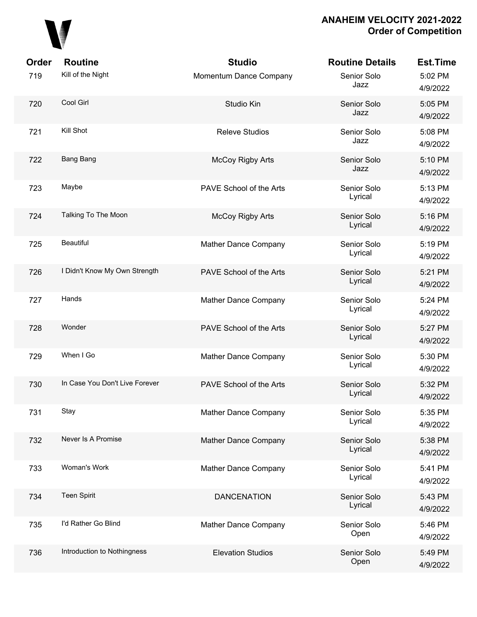

| Order | <b>Routine</b>                 | <b>Studio</b>            | <b>Routine Details</b> | <b>Est.Time</b>     |
|-------|--------------------------------|--------------------------|------------------------|---------------------|
| 719   | Kill of the Night              | Momentum Dance Company   | Senior Solo<br>Jazz    | 5:02 PM<br>4/9/2022 |
| 720   | Cool Girl                      | Studio Kin               | Senior Solo<br>Jazz    | 5:05 PM<br>4/9/2022 |
| 721   | Kill Shot                      | <b>Releve Studios</b>    | Senior Solo<br>Jazz    | 5:08 PM<br>4/9/2022 |
| 722   | Bang Bang                      | <b>McCoy Rigby Arts</b>  | Senior Solo<br>Jazz    | 5:10 PM<br>4/9/2022 |
| 723   | Maybe                          | PAVE School of the Arts  | Senior Solo<br>Lyrical | 5:13 PM<br>4/9/2022 |
| 724   | Talking To The Moon            | <b>McCoy Rigby Arts</b>  | Senior Solo<br>Lyrical | 5:16 PM<br>4/9/2022 |
| 725   | <b>Beautiful</b>               | Mather Dance Company     | Senior Solo<br>Lyrical | 5:19 PM<br>4/9/2022 |
| 726   | I Didn't Know My Own Strength  | PAVE School of the Arts  | Senior Solo<br>Lyrical | 5:21 PM<br>4/9/2022 |
| 727   | Hands                          | Mather Dance Company     | Senior Solo<br>Lyrical | 5:24 PM<br>4/9/2022 |
| 728   | Wonder                         | PAVE School of the Arts  | Senior Solo<br>Lyrical | 5:27 PM<br>4/9/2022 |
| 729   | When I Go                      | Mather Dance Company     | Senior Solo<br>Lyrical | 5:30 PM<br>4/9/2022 |
| 730   | In Case You Don't Live Forever | PAVE School of the Arts  | Senior Solo<br>Lyrical | 5:32 PM<br>4/9/2022 |
| 731   | Stay                           | Mather Dance Company     | Senior Solo<br>Lyrical | 5:35 PM<br>4/9/2022 |
| 732   | Never Is A Promise             | Mather Dance Company     | Senior Solo<br>Lyrical | 5:38 PM<br>4/9/2022 |
| 733   | Woman's Work                   | Mather Dance Company     | Senior Solo<br>Lyrical | 5:41 PM<br>4/9/2022 |
| 734   | <b>Teen Spirit</b>             | <b>DANCENATION</b>       | Senior Solo<br>Lyrical | 5:43 PM<br>4/9/2022 |
| 735   | I'd Rather Go Blind            | Mather Dance Company     | Senior Solo<br>Open    | 5:46 PM<br>4/9/2022 |
| 736   | Introduction to Nothingness    | <b>Elevation Studios</b> | Senior Solo<br>Open    | 5:49 PM<br>4/9/2022 |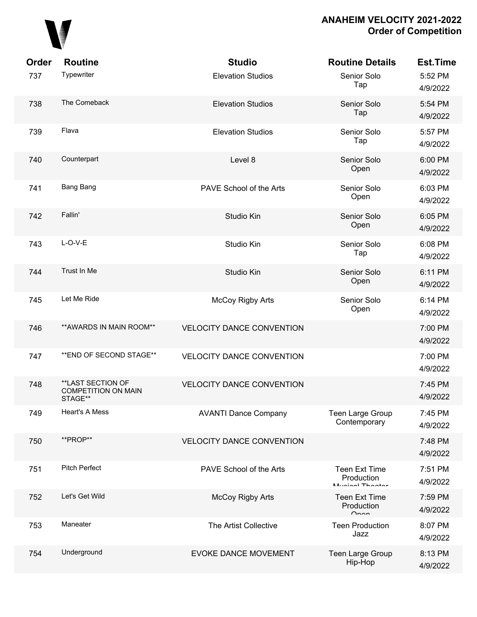

| Order | <b>Routine</b>                                             | <b>Studio</b>                    | <b>Routine Details</b>                                      | Est.Time            |
|-------|------------------------------------------------------------|----------------------------------|-------------------------------------------------------------|---------------------|
| 737   | Typewriter                                                 | <b>Elevation Studios</b>         | Senior Solo<br>Tap                                          | 5:52 PM<br>4/9/2022 |
| 738   | The Comeback                                               | <b>Elevation Studios</b>         | Senior Solo<br>Tap                                          | 5:54 PM<br>4/9/2022 |
| 739   | Flava                                                      | <b>Elevation Studios</b>         | Senior Solo<br>Tap                                          | 5:57 PM<br>4/9/2022 |
| 740   | Counterpart                                                | Level 8                          | Senior Solo<br>Open                                         | 6:00 PM<br>4/9/2022 |
| 741   | Bang Bang                                                  | PAVE School of the Arts          | Senior Solo<br>Open                                         | 6:03 PM<br>4/9/2022 |
| 742   | Fallin'                                                    | Studio Kin                       | Senior Solo<br>Open                                         | 6:05 PM<br>4/9/2022 |
| 743   | $L-O-V-E$                                                  | Studio Kin                       | Senior Solo<br>Tap                                          | 6:08 PM<br>4/9/2022 |
| 744   | Trust In Me                                                | Studio Kin                       | Senior Solo<br>Open                                         | 6:11 PM<br>4/9/2022 |
| 745   | Let Me Ride                                                | McCoy Rigby Arts                 | Senior Solo<br>Open                                         | 6:14 PM<br>4/9/2022 |
| 746   | ** AWARDS IN MAIN ROOM**                                   | <b>VELOCITY DANCE CONVENTION</b> |                                                             | 7:00 PM<br>4/9/2022 |
| 747   | ** END OF SECOND STAGE**                                   | <b>VELOCITY DANCE CONVENTION</b> |                                                             | 7:00 PM<br>4/9/2022 |
| 748   | **LAST SECTION OF<br><b>COMPETITION ON MAIN</b><br>STAGE** | <b>VELOCITY DANCE CONVENTION</b> |                                                             | 7:45 PM<br>4/9/2022 |
| 749   | Heart's A Mess                                             | <b>AVANTI Dance Company</b>      | Teen Large Group<br>Contemporary                            | 7:45 PM<br>4/9/2022 |
| 750   | **PROP**                                                   | <b>VELOCITY DANCE CONVENTION</b> |                                                             | 7:48 PM<br>4/9/2022 |
| 751   | <b>Pitch Perfect</b>                                       | PAVE School of the Arts          | <b>Teen Ext Time</b><br>Production<br>$M_{initial}$ Thootor | 7:51 PM<br>4/9/2022 |
| 752   | Let's Get Wild                                             | McCoy Rigby Arts                 | <b>Teen Ext Time</b><br>Production<br>$\sim$                | 7:59 PM<br>4/9/2022 |
| 753   | Maneater                                                   | The Artist Collective            | <b>Teen Production</b><br>Jazz                              | 8:07 PM<br>4/9/2022 |
| 754   | Underground                                                | EVOKE DANCE MOVEMENT             | Teen Large Group<br>Hip-Hop                                 | 8:13 PM<br>4/9/2022 |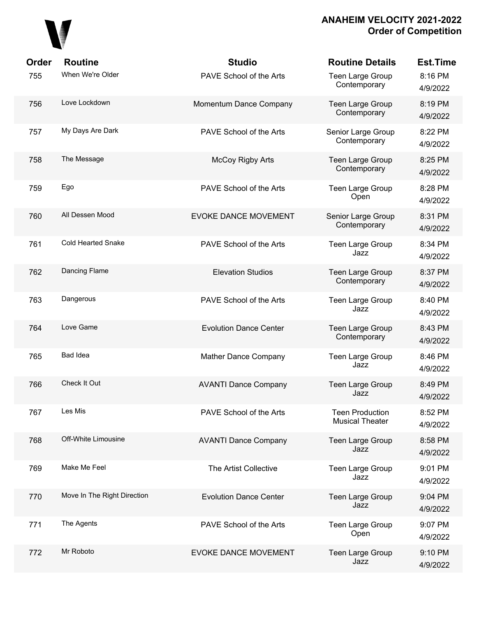

| Order | <b>Routine</b>              | <b>Studio</b>                 | <b>Routine Details</b>                           | <b>Est.Time</b>     |
|-------|-----------------------------|-------------------------------|--------------------------------------------------|---------------------|
| 755   | When We're Older            | PAVE School of the Arts       | Teen Large Group<br>Contemporary                 | 8:16 PM<br>4/9/2022 |
| 756   | Love Lockdown               | Momentum Dance Company        | Teen Large Group<br>Contemporary                 | 8:19 PM<br>4/9/2022 |
| 757   | My Days Are Dark            | PAVE School of the Arts       | Senior Large Group<br>Contemporary               | 8:22 PM<br>4/9/2022 |
| 758   | The Message                 | <b>McCoy Rigby Arts</b>       | Teen Large Group<br>Contemporary                 | 8:25 PM<br>4/9/2022 |
| 759   | Ego                         | PAVE School of the Arts       | Teen Large Group<br>Open                         | 8:28 PM<br>4/9/2022 |
| 760   | All Dessen Mood             | <b>EVOKE DANCE MOVEMENT</b>   | Senior Large Group<br>Contemporary               | 8:31 PM<br>4/9/2022 |
| 761   | <b>Cold Hearted Snake</b>   | PAVE School of the Arts       | <b>Teen Large Group</b><br>Jazz                  | 8:34 PM<br>4/9/2022 |
| 762   | Dancing Flame               | <b>Elevation Studios</b>      | Teen Large Group<br>Contemporary                 | 8:37 PM<br>4/9/2022 |
| 763   | Dangerous                   | PAVE School of the Arts       | <b>Teen Large Group</b><br>Jazz                  | 8:40 PM<br>4/9/2022 |
| 764   | Love Game                   | <b>Evolution Dance Center</b> | Teen Large Group<br>Contemporary                 | 8:43 PM<br>4/9/2022 |
| 765   | Bad Idea                    | Mather Dance Company          | <b>Teen Large Group</b><br>Jazz                  | 8:46 PM<br>4/9/2022 |
| 766   | Check It Out                | <b>AVANTI Dance Company</b>   | Teen Large Group<br>Jazz                         | 8:49 PM<br>4/9/2022 |
| 767   | Les Mis                     | PAVE School of the Arts       | <b>Teen Production</b><br><b>Musical Theater</b> | 8:52 PM<br>4/9/2022 |
| 768   | Off-White Limousine         | <b>AVANTI Dance Company</b>   | Teen Large Group<br>Jazz                         | 8:58 PM<br>4/9/2022 |
| 769   | Make Me Feel                | The Artist Collective         | Teen Large Group<br>Jazz                         | 9:01 PM<br>4/9/2022 |
| 770   | Move In The Right Direction | <b>Evolution Dance Center</b> | Teen Large Group<br>Jazz                         | 9:04 PM<br>4/9/2022 |
| 771   | The Agents                  | PAVE School of the Arts       | Teen Large Group<br>Open                         | 9:07 PM<br>4/9/2022 |
| 772   | Mr Roboto                   | <b>EVOKE DANCE MOVEMENT</b>   | Teen Large Group<br>Jazz                         | 9:10 PM<br>4/9/2022 |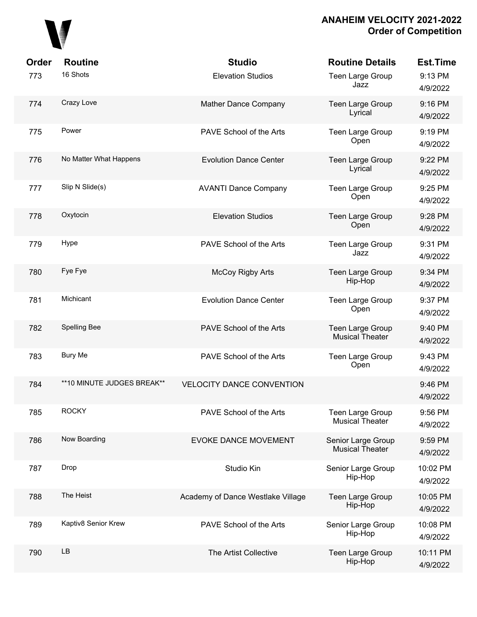

| <b>Order</b><br>773 | <b>Routine</b><br>16 Shots | <b>Studio</b><br><b>Elevation Studios</b> | <b>Routine Details</b><br>Teen Large Group<br>Jazz | <b>Est.Time</b><br>9:13 PM<br>4/9/2022 |
|---------------------|----------------------------|-------------------------------------------|----------------------------------------------------|----------------------------------------|
| 774                 | Crazy Love                 | Mather Dance Company                      | Teen Large Group<br>Lyrical                        | 9:16 PM<br>4/9/2022                    |
| 775                 | Power                      | PAVE School of the Arts                   | Teen Large Group<br>Open                           | 9:19 PM<br>4/9/2022                    |
| 776                 | No Matter What Happens     | <b>Evolution Dance Center</b>             | Teen Large Group<br>Lyrical                        | 9:22 PM<br>4/9/2022                    |
| 777                 | Slip N Slide(s)            | <b>AVANTI Dance Company</b>               | Teen Large Group<br>Open                           | 9:25 PM<br>4/9/2022                    |
| 778                 | Oxytocin                   | <b>Elevation Studios</b>                  | Teen Large Group<br>Open                           | 9:28 PM<br>4/9/2022                    |
| 779                 | Hype                       | PAVE School of the Arts                   | Teen Large Group<br>Jazz                           | 9:31 PM<br>4/9/2022                    |
| 780                 | Fye Fye                    | <b>McCoy Rigby Arts</b>                   | Teen Large Group<br>Hip-Hop                        | 9:34 PM<br>4/9/2022                    |
| 781                 | Michicant                  | <b>Evolution Dance Center</b>             | Teen Large Group<br>Open                           | 9:37 PM<br>4/9/2022                    |
| 782                 | Spelling Bee               | PAVE School of the Arts                   | Teen Large Group<br><b>Musical Theater</b>         | 9:40 PM<br>4/9/2022                    |
| 783                 | <b>Bury Me</b>             | PAVE School of the Arts                   | Teen Large Group<br>Open                           | 9:43 PM<br>4/9/2022                    |
| 784                 | **10 MINUTE JUDGES BREAK** | <b>VELOCITY DANCE CONVENTION</b>          |                                                    | 9:46 PM<br>4/9/2022                    |
| 785                 | <b>ROCKY</b>               | PAVE School of the Arts                   | <b>Teen Large Group</b><br>Musical Theater         | 9:56 PM<br>4/9/2022                    |
| 786                 | Now Boarding               | <b>EVOKE DANCE MOVEMENT</b>               | Senior Large Group<br><b>Musical Theater</b>       | 9:59 PM<br>4/9/2022                    |
| 787                 | Drop                       | Studio Kin                                | Senior Large Group<br>Hip-Hop                      | 10:02 PM<br>4/9/2022                   |
| 788                 | The Heist                  | Academy of Dance Westlake Village         | Teen Large Group<br>Hip-Hop                        | 10:05 PM<br>4/9/2022                   |
| 789                 | Kaptiv8 Senior Krew        | PAVE School of the Arts                   | Senior Large Group<br>Hip-Hop                      | 10:08 PM<br>4/9/2022                   |
| 790                 | <b>LB</b>                  | The Artist Collective                     | Teen Large Group<br>Hip-Hop                        | 10:11 PM<br>4/9/2022                   |